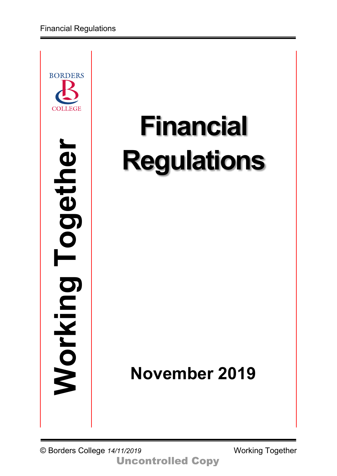

# **Financial Regulations**

## **November 2019**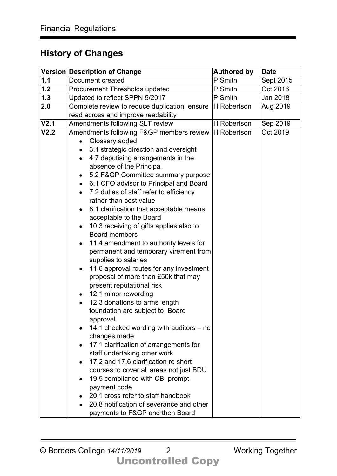## **History of Changes**

|                  | Version Description of Change                                   | <b>Authored by</b> | <b>Date</b> |
|------------------|-----------------------------------------------------------------|--------------------|-------------|
| 1.1              | <b>Document created</b>                                         | P Smith            | Sept 2015   |
| 1.2              | Procurement Thresholds updated                                  | P Smith            | Oct 2016    |
| 1.3              | Updated to reflect SPPN 5/2017                                  | P Smith            | Jan 2018    |
| 2.0              | Complete review to reduce duplication, ensure                   | H Robertson        | Aug 2019    |
|                  | read across and improve readability                             |                    |             |
| V <sub>2.1</sub> | Amendments following SLT review                                 | <b>H</b> Robertson | Sep 2019    |
| V <sub>2.2</sub> | Amendments following F&GP members review                        | H Robertson        | Oct 2019    |
|                  | Glossary added                                                  |                    |             |
|                  | 3.1 strategic direction and oversight                           |                    |             |
|                  | 4.7 deputising arrangements in the                              |                    |             |
|                  | absence of the Principal                                        |                    |             |
|                  | 5.2 F&GP Committee summary purpose                              |                    |             |
|                  | 6.1 CFO advisor to Principal and Board<br>$\bullet$             |                    |             |
|                  | 7.2 duties of staff refer to efficiency                         |                    |             |
|                  | rather than best value                                          |                    |             |
|                  | 8.1 clarification that acceptable means                         |                    |             |
|                  | acceptable to the Board                                         |                    |             |
|                  | 10.3 receiving of gifts applies also to<br><b>Board members</b> |                    |             |
|                  |                                                                 |                    |             |
|                  | 11.4 amendment to authority levels for                          |                    |             |
|                  | permanent and temporary virement from<br>supplies to salaries   |                    |             |
|                  | 11.6 approval routes for any investment<br>$\bullet$            |                    |             |
|                  | proposal of more than £50k that may                             |                    |             |
|                  | present reputational risk                                       |                    |             |
|                  | 12.1 minor rewording                                            |                    |             |
|                  | 12.3 donations to arms length                                   |                    |             |
|                  | foundation are subject to Board                                 |                    |             |
|                  | approval                                                        |                    |             |
|                  | 14.1 checked wording with auditors – no                         |                    |             |
|                  | changes made                                                    |                    |             |
|                  | 17.1 clarification of arrangements for                          |                    |             |
|                  | staff undertaking other work                                    |                    |             |
|                  | 17.2 and 17.6 clarification re short                            |                    |             |
|                  | courses to cover all areas not just BDU                         |                    |             |
|                  | 19.5 compliance with CBI prompt                                 |                    |             |
|                  | payment code                                                    |                    |             |
|                  | 20.1 cross refer to staff handbook                              |                    |             |
|                  | 20.8 notification of severance and other                        |                    |             |
|                  | payments to F&GP and then Board                                 |                    |             |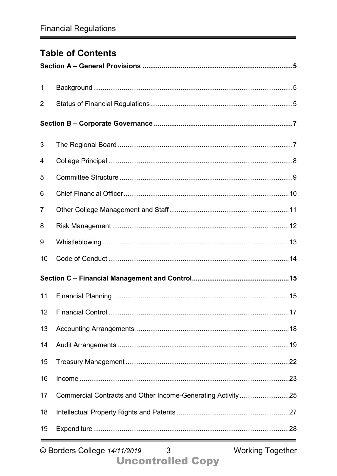## **Table of Contents**

| $\mathbf 1$     |                                                             |  |
|-----------------|-------------------------------------------------------------|--|
| $\overline{2}$  |                                                             |  |
|                 |                                                             |  |
| 3               |                                                             |  |
| 4               |                                                             |  |
| 5               |                                                             |  |
| 6               |                                                             |  |
| $\overline{7}$  |                                                             |  |
| 8               |                                                             |  |
| 9               |                                                             |  |
| 10              |                                                             |  |
|                 |                                                             |  |
| 11              |                                                             |  |
| 12 <sup>2</sup> | . 17                                                        |  |
| 13              |                                                             |  |
| 14              |                                                             |  |
| 15              |                                                             |  |
| 16              |                                                             |  |
| 17              | Commercial Contracts and Other Income-Generating Activity25 |  |
| 18              |                                                             |  |
| 19              |                                                             |  |

**Working Together**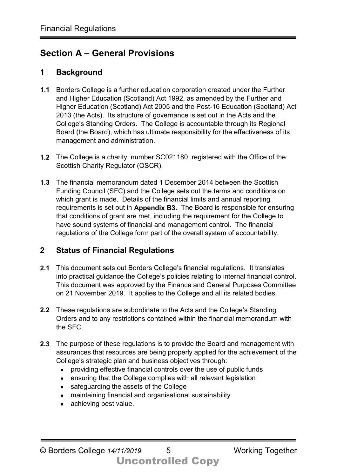## **Section A – General Provisions**

## **1 Background**

- **1.1** Borders College is a further education corporation created under the Further and Higher Education (Scotland) Act 1992, as amended by the Further and Higher Education (Scotland) Act 2005 and the Post-16 Education (Scotland) Act 2013 (the Acts). Its structure of governance is set out in the Acts and the College's Standing Orders. The College is accountable through its Regional Board (the Board), which has ultimate responsibility for the effectiveness of its management and administration.
- **1.2** The College is a charity, number SC021180, registered with the Office of the Scottish Charity Regulator (OSCR).
- **1.3** The financial memorandum dated 1 December 2014 between the Scottish Funding Council (SFC) and the College sets out the terms and conditions on which grant is made. Details of the financial limits and annual reporting requirements is set out in **Appendix B3**. The Board is responsible for ensuring that conditions of grant are met, including the requirement for the College to have sound systems of financial and management control. The financial regulations of the College form part of the overall system of accountability.

## **2 Status of Financial Regulations**

- **2.1** This document sets out Borders College's financial regulations. It translates into practical guidance the College's policies relating to internal financial control. This document was approved by the Finance and General Purposes Committee on 21 November 2019. It applies to the College and all its related bodies.
- **2.2** These regulations are subordinate to the Acts and the College's Standing Orders and to any restrictions contained within the financial memorandum with the SFC.
- **2.3** The purpose of these regulations is to provide the Board and management with assurances that resources are being properly applied for the achievement of the College's strategic plan and business objectives through:
	- providing effective financial controls over the use of public funds
	- ensuring that the College complies with all relevant legislation
	- safeguarding the assets of the College
	- maintaining financial and organisational sustainability
	- achieving best value.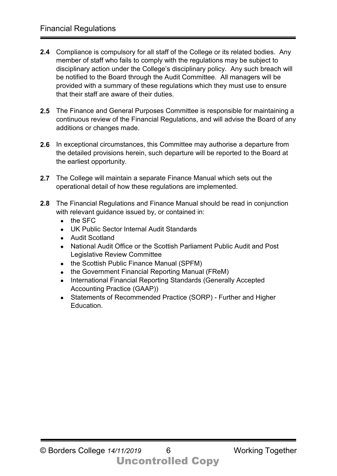- **2.4** Compliance is compulsory for all staff of the College or its related bodies. Any member of staff who fails to comply with the regulations may be subject to disciplinary action under the College's disciplinary policy. Any such breach will be notified to the Board through the Audit Committee. All managers will be provided with a summary of these regulations which they must use to ensure that their staff are aware of their duties.
- **2.5** The Finance and General Purposes Committee is responsible for maintaining a continuous review of the Financial Regulations, and will advise the Board of any additions or changes made.
- **2.6** In exceptional circumstances, this Committee may authorise a departure from the detailed provisions herein, such departure will be reported to the Board at the earliest opportunity.
- **2.7** The College will maintain a separate Finance Manual which sets out the operational detail of how these regulations are implemented.
- **2.8** The Financial Regulations and Finance Manual should be read in conjunction with relevant guidance issued by, or contained in:
	- the SFC
	- UK Public Sector Internal Audit Standards
	- Audit Scotland
	- National Audit Office or the Scottish Parliament Public Audit and Post Legislative Review Committee
	- the Scottish Public Finance Manual (SPFM)
	- the Government Financial Reporting Manual (FReM)
	- International Financial Reporting Standards (Generally Accepted Accounting Practice (GAAP))
	- Statements of Recommended Practice (SORP) Further and Higher Education.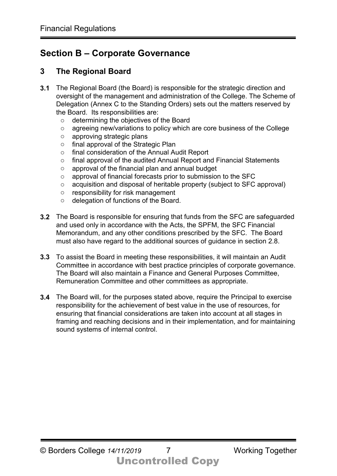## **Section B – Corporate Governance**

#### **3 The Regional Board**

- **3.1** The Regional Board (the Board) is responsible for the strategic direction and oversight of the management and administration of the College. The Scheme of Delegation (Annex C to the Standing Orders) sets out the matters reserved by the Board. Its responsibilities are:
	- o determining the objectives of the Board
	- o agreeing new/variations to policy which are core business of the College
	- o approving strategic plans
	- o final approval of the Strategic Plan
	- o final consideration of the Annual Audit Report
	- o final approval of the audited Annual Report and Financial Statements
	- o approval of the financial plan and annual budget
	- o approval of financial forecasts prior to submission to the SFC
	- o acquisition and disposal of heritable property (subject to SFC approval)
	- o responsibility for risk management
	- o delegation of functions of the Board.
- **3.2** The Board is responsible for ensuring that funds from the SFC are safeguarded and used only in accordance with the Acts, the SPFM, the SFC Financial Memorandum, and any other conditions prescribed by the SFC. The Board must also have regard to the additional sources of guidance in section 2.8.
- **3.3** To assist the Board in meeting these responsibilities, it will maintain an Audit Committee in accordance with best practice principles of corporate governance. The Board will also maintain a Finance and General Purposes Committee, Remuneration Committee and other committees as appropriate.
- **3.4** The Board will, for the purposes stated above, require the Principal to exercise responsibility for the achievement of best value in the use of resources, for ensuring that financial considerations are taken into account at all stages in framing and reaching decisions and in their implementation, and for maintaining sound systems of internal control.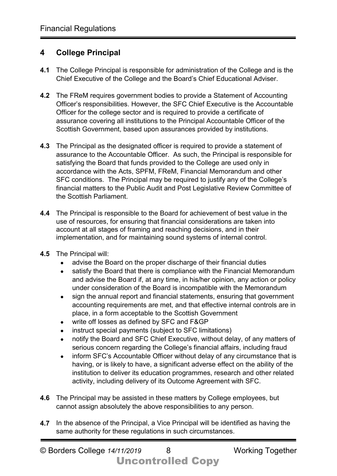#### **4 College Principal**

- **4.1** The College Principal is responsible for administration of the College and is the Chief Executive of the College and the Board's Chief Educational Adviser.
- **4.2** The FReM requires government bodies to provide a Statement of Accounting Officer's responsibilities. However, the SFC Chief Executive is the Accountable Officer for the college sector and is required to provide a certificate of assurance covering all institutions to the Principal Accountable Officer of the Scottish Government, based upon assurances provided by institutions.
- **4.3** The Principal as the designated officer is required to provide a statement of assurance to the Accountable Officer. As such, the Principal is responsible for satisfying the Board that funds provided to the College are used only in accordance with the Acts, SPFM, FReM, Financial Memorandum and other SFC conditions. The Principal may be required to justify any of the College's financial matters to the Public Audit and Post Legislative Review Committee of the Scottish Parliament.
- **4.4** The Principal is responsible to the Board for achievement of best value in the use of resources, for ensuring that financial considerations are taken into account at all stages of framing and reaching decisions, and in their implementation, and for maintaining sound systems of internal control.
- **4.5** The Principal will:
	- advise the Board on the proper discharge of their financial duties
	- satisfy the Board that there is compliance with the Financial Memorandum and advise the Board if, at any time, in his/her opinion, any action or policy under consideration of the Board is incompatible with the Memorandum
	- sign the annual report and financial statements, ensuring that government accounting requirements are met, and that effective internal controls are in place, in a form acceptable to the Scottish Government
	- write off losses as defined by SFC and F&GP
	- instruct special payments (subject to SFC limitations)
	- notify the Board and SFC Chief Executive, without delay, of any matters of serious concern regarding the College's financial affairs, including fraud
	- inform SFC's Accountable Officer without delay of any circumstance that is having, or is likely to have, a significant adverse effect on the ability of the institution to deliver its education programmes, research and other related activity, including delivery of its Outcome Agreement with SFC.
- **4.6** The Principal may be assisted in these matters by College employees, but cannot assign absolutely the above responsibilities to any person.
- **4.7** In the absence of the Principal, a Vice Principal will be identified as having the same authority for these regulations in such circumstances.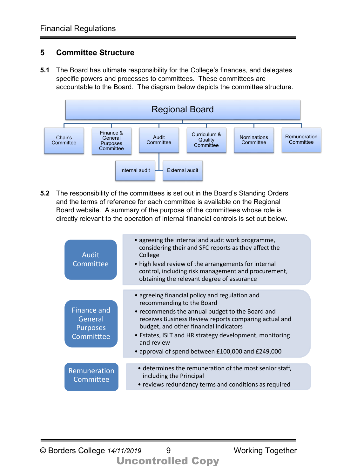## **5 Committee Structure**

**5.1** The Board has ultimate responsibility for the College's finances, and delegates specific powers and processes to committees. These committees are accountable to the Board. The diagram below depicts the committee structure.



**5.2** The responsibility of the committees is set out in the Board's Standing Orders and the terms of reference for each committee is available on the Regional Board website. A summary of the purpose of the committees whose role is directly relevant to the operation of internal financial controls is set out below.

| Audit<br>Committee                                             | • agreeing the internal and audit work programme,<br>considering their and SFC reports as they affect the<br>College<br>• high level review of the arrangements for internal<br>control, including risk management and procurement,<br>obtaining the relevant degree of assurance                                                                               |
|----------------------------------------------------------------|-----------------------------------------------------------------------------------------------------------------------------------------------------------------------------------------------------------------------------------------------------------------------------------------------------------------------------------------------------------------|
| <b>Finance and</b><br>General<br><b>Purposes</b><br>Committtee | • agreeing financial policy and regulation and<br>recommending to the Board<br>• recommends the annual budget to the Board and<br>receives Business Review reports comparing actual and<br>budget, and other financial indicators<br>• Estates, ISLT and HR strategy development, monitoring<br>and review<br>• approval of spend between £100,000 and £249,000 |
| Remuneration<br>Committee                                      | • determines the remuneration of the most senior staff,<br>including the Principal<br>• reviews redundancy terms and conditions as required                                                                                                                                                                                                                     |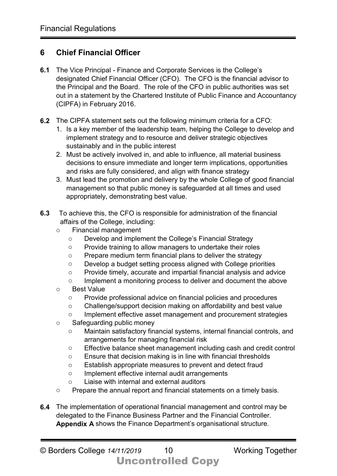#### **6 Chief Financial Officer**

- **6.1** The Vice Principal Finance and Corporate Services is the College's designated Chief Financial Officer (CFO). The CFO is the financial advisor to the Principal and the Board. The role of the CFO in public authorities was set out in a statement by the Chartered Institute of Public Finance and Accountancy (CIPFA) in February 2016.
- **6.2** The CIPFA statement sets out the following minimum criteria for a CFO:
	- 1. Is a key member of the leadership team, helping the College to develop and implement strategy and to resource and deliver strategic objectives sustainably and in the public interest
	- 2. Must be actively involved in, and able to influence, all material business decisions to ensure immediate and longer term implications, opportunities and risks are fully considered, and align with finance strategy
	- 3. Must lead the promotion and delivery by the whole College of good financial management so that public money is safeguarded at all times and used appropriately, demonstrating best value.
- **6.3** To achieve this, the CFO is responsible for administration of the financial affairs of the College, including:
	- o Financial management<br>O Develop and impler
		- Develop and implement the College's Financial Strategy
		- o Provide training to allow managers to undertake their roles
		- o Prepare medium term financial plans to deliver the strategy
		- o Develop a budget setting process aligned with College priorities
		- o Provide timely, accurate and impartial financial analysis and advice
		- o Implement a monitoring process to deliver and document the above
	- o Best Value
		- o Provide professional advice on financial policies and procedures
		- o Challenge/support decision making on affordability and best value
		- o Implement effective asset management and procurement strategies
	- o Safeguarding public money
		- o Maintain satisfactory financial systems, internal financial controls, and arrangements for managing financial risk
		- o Effective balance sheet management including cash and credit control
		- o Ensure that decision making is in line with financial thresholds
		- o Establish appropriate measures to prevent and detect fraud
		- o Implement effective internal audit arrangements
		- o Liaise with internal and external auditors
	- o Prepare the annual report and financial statements on a timely basis.
- **6.4** The implementation of operational financial management and control may be delegated to the Finance Business Partner and the Financial Controller. **Appendix A** shows the Finance Department's organisational structure.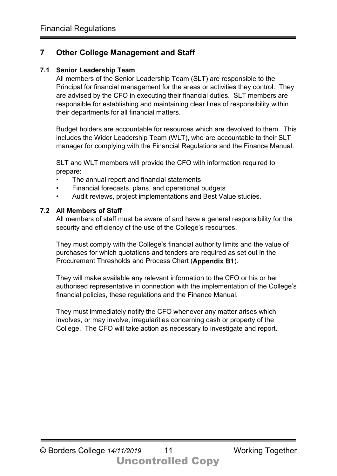#### **7 Other College Management and Staff**

#### **7.1 Senior Leadership Team**

All members of the Senior Leadership Team (SLT) are responsible to the Principal for financial management for the areas or activities they control. They are advised by the CFO in executing their financial duties. SLT members are responsible for establishing and maintaining clear lines of responsibility within their departments for all financial matters.

Budget holders are accountable for resources which are devolved to them. This includes the Wider Leadership Team (WLT), who are accountable to their SLT manager for complying with the Financial Regulations and the Finance Manual.

SLT and WLT members will provide the CFO with information required to prepare:

- The annual report and financial statements
- Financial forecasts, plans, and operational budgets
- Audit reviews, project implementations and Best Value studies.

#### **7.2 All Members of Staff**

All members of staff must be aware of and have a general responsibility for the security and efficiency of the use of the College's resources.

They must comply with the College's financial authority limits and the value of purchases for which quotations and tenders are required as set out in the Procurement Thresholds and Process Chart (**Appendix B1**).

They will make available any relevant information to the CFO or his or her authorised representative in connection with the implementation of the College's financial policies, these regulations and the Finance Manual.

They must immediately notify the CFO whenever any matter arises which involves, or may involve, irregularities concerning cash or property of the College. The CFO will take action as necessary to investigate and report.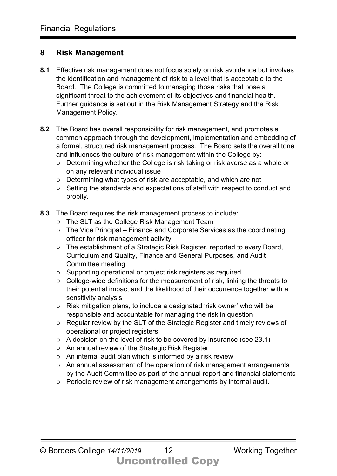#### **8 Risk Management**

- **8.1** Effective risk management does not focus solely on risk avoidance but involves the identification and management of risk to a level that is acceptable to the Board. The College is committed to managing those risks that pose a significant threat to the achievement of its objectives and financial health. Further guidance is set out in the Risk Management Strategy and the Risk Management Policy.
- **8.2** The Board has overall responsibility for risk management, and promotes a common approach through the development, implementation and embedding of a formal, structured risk management process. The Board sets the overall tone and influences the culture of risk management within the College by:
	- o Determining whether the College is risk taking or risk averse as a whole or on any relevant individual issue
	- o Determining what types of risk are acceptable, and which are not
	- o Setting the standards and expectations of staff with respect to conduct and probity.
- **8.3** The Board requires the risk management process to include:
	- o The SLT as the College Risk Management Team
	- o The Vice Principal Finance and Corporate Services as the coordinating officer for risk management activity
	- o The establishment of a Strategic Risk Register, reported to every Board, Curriculum and Quality, Finance and General Purposes, and Audit Committee meeting
	- o Supporting operational or project risk registers as required
	- o College-wide definitions for the measurement of risk, linking the threats to their potential impact and the likelihood of their occurrence together with a sensitivity analysis
	- o Risk mitigation plans, to include a designated 'risk owner' who will be responsible and accountable for managing the risk in question
	- o Regular review by the SLT of the Strategic Register and timely reviews of operational or project registers
	- o A decision on the level of risk to be covered by insurance (see 23.1)
	- o An annual review of the Strategic Risk Register
	- o An internal audit plan which is informed by a risk review
	- o An annual assessment of the operation of risk management arrangements by the Audit Committee as part of the annual report and financial statements
	- o Periodic review of risk management arrangements by internal audit.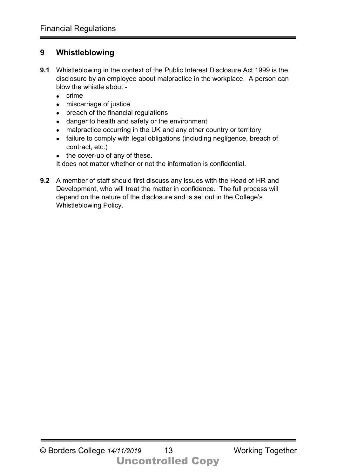#### **9 Whistleblowing**

- **9.1** Whistleblowing in the context of the Public Interest Disclosure Act 1999 is the disclosure by an employee about malpractice in the workplace. A person can blow the whistle about -
	- crime
	- miscarriage of justice
	- breach of the financial regulations
	- danger to health and safety or the environment
	- malpractice occurring in the UK and any other country or territory
	- failure to comply with legal obligations (including negligence, breach of contract, etc.)
	- the cover-up of any of these.

It does not matter whether or not the information is confidential.

**9.2** A member of staff should first discuss any issues with the Head of HR and Development, who will treat the matter in confidence. The full process will depend on the nature of the disclosure and is set out in the College's Whistleblowing Policy.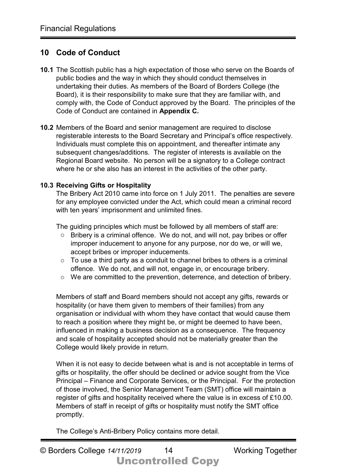#### **10 Code of Conduct**

- **10.1** The Scottish public has a high expectation of those who serve on the Boards of public bodies and the way in which they should conduct themselves in undertaking their duties. As members of the Board of Borders College (the Board), it is their responsibility to make sure that they are familiar with, and comply with, the Code of Conduct approved by the Board. The principles of the Code of Conduct are contained in **Appendix C.**
- **10.2** Members of the Board and senior management are required to disclose registerable interests to the Board Secretary and Principal's office respectively. Individuals must complete this on appointment, and thereafter intimate any subsequent changes/additions. The register of interests is available on the Regional Board website. No person will be a signatory to a College contract where he or she also has an interest in the activities of the other party.

#### **10.3 Receiving Gifts or Hospitality**

The Bribery Act 2010 came into force on 1 July 2011. The penalties are severe for any employee convicted under the Act, which could mean a criminal record with ten years' imprisonment and unlimited fines.

The guiding principles which must be followed by all members of staff are:

- o Bribery is a criminal offence. We do not, and will not, pay bribes or offer improper inducement to anyone for any purpose, nor do we, or will we, accept bribes or improper inducements.
- o To use a third party as a conduit to channel bribes to others is a criminal offence. We do not, and will not, engage in, or encourage bribery.
- o We are committed to the prevention, deterrence, and detection of bribery.

Members of staff and Board members should not accept any gifts, rewards or hospitality (or have them given to members of their families) from any organisation or individual with whom they have contact that would cause them to reach a position where they might be, or might be deemed to have been, influenced in making a business decision as a consequence. The frequency and scale of hospitality accepted should not be materially greater than the College would likely provide in return.

When it is not easy to decide between what is and is not acceptable in terms of gifts or hospitality, the offer should be declined or advice sought from the Vice Principal – Finance and Corporate Services, or the Principal. For the protection of those involved, the Senior Management Team (SMT) office will maintain a register of gifts and hospitality received where the value is in excess of £10.00. Members of staff in receipt of gifts or hospitality must notify the SMT office promptly.

The College's Anti-Bribery Policy contains more detail.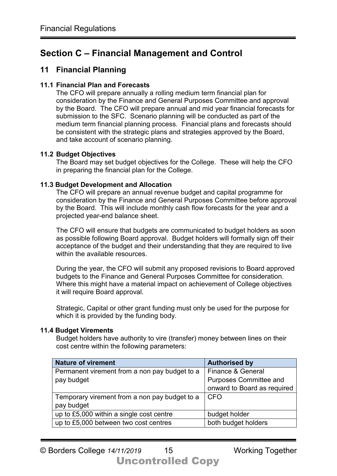## **Section C – Financial Management and Control**

#### **11 Financial Planning**

#### **11.1 Financial Plan and Forecasts**

The CFO will prepare annually a rolling medium term financial plan for consideration by the Finance and General Purposes Committee and approval by the Board. The CFO will prepare annual and mid year financial forecasts for submission to the SFC. Scenario planning will be conducted as part of the medium term financial planning process. Financial plans and forecasts should be consistent with the strategic plans and strategies approved by the Board, and take account of scenario planning.

#### **11.2 Budget Objectives**

The Board may set budget objectives for the College. These will help the CFO in preparing the financial plan for the College.

#### **11.3 Budget Development and Allocation**

The CFO will prepare an annual revenue budget and capital programme for consideration by the Finance and General Purposes Committee before approval by the Board. This will include monthly cash flow forecasts for the year and a projected year-end balance sheet.

The CFO will ensure that budgets are communicated to budget holders as soon as possible following Board approval. Budget holders will formally sign off their acceptance of the budget and their understanding that they are required to live within the available resources

During the year, the CFO will submit any proposed revisions to Board approved budgets to the Finance and General Purposes Committee for consideration. Where this might have a material impact on achievement of College objectives it will require Board approval.

Strategic, Capital or other grant funding must only be used for the purpose for which it is provided by the funding body.

#### **11.4 Budget Virements**

Budget holders have authority to vire (transfer) money between lines on their cost centre within the following parameters:

| <b>Nature of virement</b>                     | <b>Authorised by</b>          |
|-----------------------------------------------|-------------------------------|
| Permanent virement from a non pay budget to a | <b>Finance &amp; General</b>  |
| pay budget                                    | <b>Purposes Committee and</b> |
|                                               | onward to Board as required   |
| Temporary virement from a non pay budget to a | l CFO                         |
| pay budget                                    |                               |
| up to £5,000 within a single cost centre      | budget holder                 |
| up to £5,000 between two cost centres         | both budget holders           |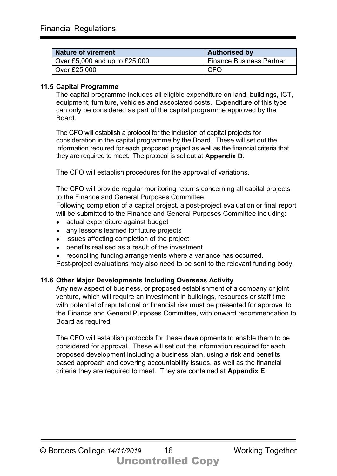| <b>Nature of virement</b>       | <b>Authorised by</b>            |
|---------------------------------|---------------------------------|
| Over £5,000 and up to $£25,000$ | <b>Finance Business Partner</b> |
| Over £25,000                    | <b>CFO</b>                      |

#### **11.5 Capital Programme**

The capital programme includes all eligible expenditure on land, buildings, ICT, equipment, furniture, vehicles and associated costs. Expenditure of this type can only be considered as part of the capital programme approved by the **Board** 

The CFO will establish a protocol for the inclusion of capital projects for consideration in the capital programme by the Board. These will set out the information required for each proposed project as well as the financial criteria that they are required to meet. The protocol is set out at **Appendix D**.

The CFO will establish procedures for the approval of variations.

The CFO will provide regular monitoring returns concerning all capital projects to the Finance and General Purposes Committee.

Following completion of a capital project, a post-project evaluation or final report will be submitted to the Finance and General Purposes Committee including:

- actual expenditure against budget
- any lessons learned for future projects
- issues affecting completion of the project
- benefits realised as a result of the investment
- reconciling funding arrangements where a variance has occurred.

Post-project evaluations may also need to be sent to the relevant funding body.

#### **11.6 Other Major Developments Including Overseas Activity**

Any new aspect of business, or proposed establishment of a company or joint venture, which will require an investment in buildings, resources or staff time with potential of reputational or financial risk must be presented for approval to the Finance and General Purposes Committee, with onward recommendation to Board as required.

The CFO will establish protocols for these developments to enable them to be considered for approval. These will set out the information required for each proposed development including a business plan, using a risk and benefits based approach and covering accountability issues, as well as the financial criteria they are required to meet. They are contained at **Appendix E**.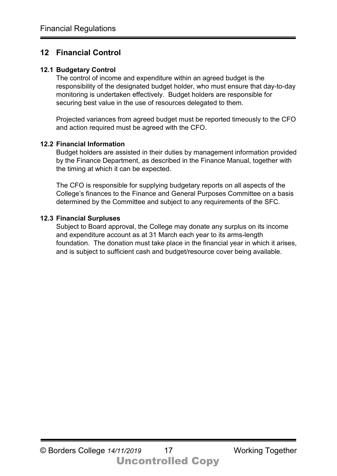## **12 Financial Control**

#### **12.1 Budgetary Control**

The control of income and expenditure within an agreed budget is the responsibility of the designated budget holder, who must ensure that day-to-day monitoring is undertaken effectively. Budget holders are responsible for securing best value in the use of resources delegated to them.

Projected variances from agreed budget must be reported timeously to the CFO and action required must be agreed with the CFO.

#### **12.2 Financial Information**

Budget holders are assisted in their duties by management information provided by the Finance Department, as described in the Finance Manual, together with the timing at which it can be expected.

The CFO is responsible for supplying budgetary reports on all aspects of the College's finances to the Finance and General Purposes Committee on a basis determined by the Committee and subject to any requirements of the SFC.

#### **12.3 Financial Surpluses**

Subject to Board approval, the College may donate any surplus on its income and expenditure account as at 31 March each year to its arms-length foundation. The donation must take place in the financial year in which it arises, and is subject to sufficient cash and budget/resource cover being available.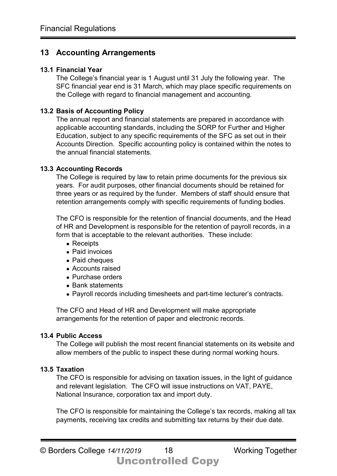#### **13 Accounting Arrangements**

#### **13.1 Financial Year**

The College's financial year is 1 August until 31 July the following year. The SFC financial year end is 31 March, which may place specific requirements on the College with regard to financial management and accounting.

#### **13.2 Basis of Accounting Policy**

The annual report and financial statements are prepared in accordance with applicable accounting standards, including the SORP for Further and Higher Education, subject to any specific requirements of the SFC as set out in their Accounts Direction. Specific accounting policy is contained within the notes to the annual financial statements.

#### **13.3 Accounting Records**

The College is required by law to retain prime documents for the previous six years. For audit purposes, other financial documents should be retained for three years or as required by the funder. Members of staff should ensure that retention arrangements comply with specific requirements of funding bodies.

The CFO is responsible for the retention of financial documents, and the Head of HR and Development is responsible for the retention of payroll records, in a form that is acceptable to the relevant authorities. These include:

- Receipts
- Paid invoices
- Paid cheques
- Accounts raised
- Purchase orders
- Bank statements
- Payroll records including timesheets and part-time lecturer's contracts.

The CFO and Head of HR and Development will make appropriate arrangements for the retention of paper and electronic records.

#### **13.4 Public Access**

The College will publish the most recent financial statements on its website and allow members of the public to inspect these during normal working hours.

#### **13.5 Taxation**

The CFO is responsible for advising on taxation issues, in the light of guidance and relevant legislation. The CFO will issue instructions on VAT, PAYE, National Insurance, corporation tax and import duty.

The CFO is responsible for maintaining the College's tax records, making all tax payments, receiving tax credits and submitting tax returns by their due date.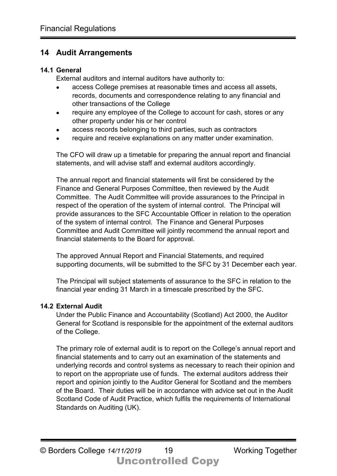#### **14 Audit Arrangements**

#### **14.1 General**

External auditors and internal auditors have authority to:

- access College premises at reasonable times and access all assets, records, documents and correspondence relating to any financial and other transactions of the College
- require any employee of the College to account for cash, stores or any other property under his or her control
- access records belonging to third parties, such as contractors
- require and receive explanations on any matter under examination.

The CFO will draw up a timetable for preparing the annual report and financial statements, and will advise staff and external auditors accordingly.

The annual report and financial statements will first be considered by the Finance and General Purposes Committee, then reviewed by the Audit Committee. The Audit Committee will provide assurances to the Principal in respect of the operation of the system of internal control. The Principal will provide assurances to the SFC Accountable Officer in relation to the operation of the system of internal control. The Finance and General Purposes Committee and Audit Committee will jointly recommend the annual report and financial statements to the Board for approval.

The approved Annual Report and Financial Statements, and required supporting documents, will be submitted to the SFC by 31 December each year.

The Principal will subject statements of assurance to the SFC in relation to the financial year ending 31 March in a timescale prescribed by the SFC.

#### **14.2 External Audit**

Under the Public Finance and Accountability (Scotland) Act 2000, the Auditor General for Scotland is responsible for the appointment of the external auditors of the College.

The primary role of external audit is to report on the College's annual report and financial statements and to carry out an examination of the statements and underlying records and control systems as necessary to reach their opinion and to report on the appropriate use of funds. The external auditors address their report and opinion jointly to the Auditor General for Scotland and the members of the Board. Their duties will be in accordance with advice set out in the Audit Scotland Code of Audit Practice, which fulfils the requirements of International Standards on Auditing (UK).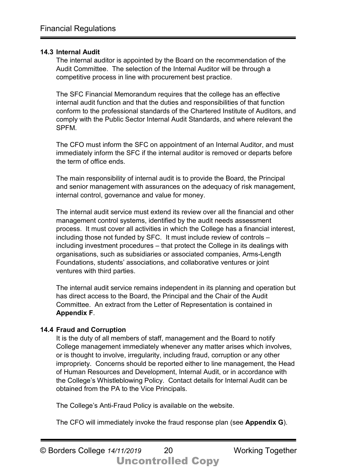#### **14.3 Internal Audit**

The internal auditor is appointed by the Board on the recommendation of the Audit Committee. The selection of the Internal Auditor will be through a competitive process in line with procurement best practice.

The SFC Financial Memorandum requires that the college has an effective internal audit function and that the duties and responsibilities of that function conform to the professional standards of the Chartered Institute of Auditors, and comply with the Public Sector Internal Audit Standards, and where relevant the SPFM.

The CFO must inform the SFC on appointment of an Internal Auditor, and must immediately inform the SFC if the internal auditor is removed or departs before the term of office ends.

The main responsibility of internal audit is to provide the Board, the Principal and senior management with assurances on the adequacy of risk management, internal control, governance and value for money.

The internal audit service must extend its review over all the financial and other management control systems, identified by the audit needs assessment process. It must cover all activities in which the College has a financial interest, including those not funded by SFC. It must include review of controls – including investment procedures – that protect the College in its dealings with organisations, such as subsidiaries or associated companies, Arms-Length Foundations, students' associations, and collaborative ventures or joint ventures with third parties.

The internal audit service remains independent in its planning and operation but has direct access to the Board, the Principal and the Chair of the Audit Committee. An extract from the Letter of Representation is contained in **Appendix F**.

#### **14.4 Fraud and Corruption**

It is the duty of all members of staff, management and the Board to notify College management immediately whenever any matter arises which involves, or is thought to involve, irregularity, including fraud, corruption or any other impropriety. Concerns should be reported either to line management, the Head of Human Resources and Development, Internal Audit, or in accordance with the College's Whistleblowing Policy. Contact details for Internal Audit can be obtained from the PA to the Vice Principals.

The College's Anti-Fraud Policy is available on the website.

The CFO will immediately invoke the fraud response plan (see **Appendix G**).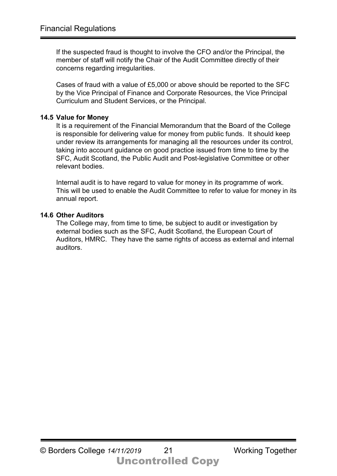If the suspected fraud is thought to involve the CFO and/or the Principal, the member of staff will notify the Chair of the Audit Committee directly of their concerns regarding irregularities.

Cases of fraud with a value of £5,000 or above should be reported to the SFC by the Vice Principal of Finance and Corporate Resources, the Vice Principal Curriculum and Student Services, or the Principal.

#### **14.5 Value for Money**

It is a requirement of the Financial Memorandum that the Board of the College is responsible for delivering value for money from public funds. It should keep under review its arrangements for managing all the resources under its control, taking into account guidance on good practice issued from time to time by the SFC, Audit Scotland, the Public Audit and Post-legislative Committee or other relevant bodies.

Internal audit is to have regard to value for money in its programme of work. This will be used to enable the Audit Committee to refer to value for money in its annual report.

#### **14.6 Other Auditors**

The College may, from time to time, be subject to audit or investigation by external bodies such as the SFC, Audit Scotland, the European Court of Auditors, HMRC. They have the same rights of access as external and internal auditors.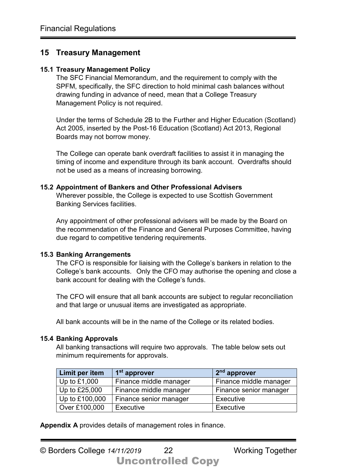#### **15 Treasury Management**

#### **15.1 Treasury Management Policy**

The SFC Financial Memorandum, and the requirement to comply with the SPFM, specifically, the SFC direction to hold minimal cash balances without drawing funding in advance of need, mean that a College Treasury Management Policy is not required.

Under the terms of Schedule 2B to the Further and Higher Education (Scotland) Act 2005, inserted by the Post-16 Education (Scotland) Act 2013, Regional Boards may not borrow money.

The College can operate bank overdraft facilities to assist it in managing the timing of income and expenditure through its bank account. Overdrafts should not be used as a means of increasing borrowing.

#### **15.2 Appointment of Bankers and Other Professional Advisers**

Wherever possible, the College is expected to use Scottish Government Banking Services facilities.

Any appointment of other professional advisers will be made by the Board on the recommendation of the Finance and General Purposes Committee, having due regard to competitive tendering requirements.

#### **15.3 Banking Arrangements**

The CFO is responsible for liaising with the College's bankers in relation to the College's bank accounts. Only the CFO may authorise the opening and close a bank account for dealing with the College's funds.

The CFO will ensure that all bank accounts are subject to regular reconciliation and that large or unusual items are investigated as appropriate.

All bank accounts will be in the name of the College or its related bodies.

#### **15.4 Banking Approvals**

All banking transactions will require two approvals. The table below sets out minimum requirements for approvals.

| Limit per item | 1 <sup>st</sup> approver | 2 <sup>nd</sup> approver |
|----------------|--------------------------|--------------------------|
| Up to $£1,000$ | Finance middle manager   | Finance middle manager   |
| Up to £25,000  | Finance middle manager   | Finance senior manager   |
| Up to £100,000 | Finance senior manager   | Executive                |
| Over £100,000  | Executive                | Executive                |

**Appendix A** provides details of management roles in finance.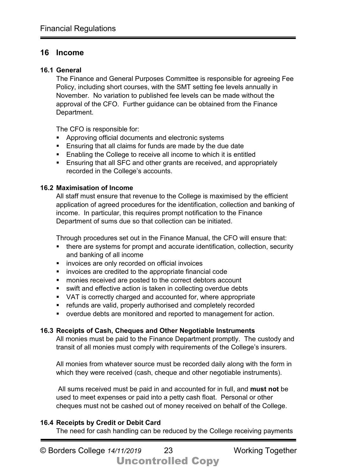#### **16 Income**

#### **16.1 General**

The Finance and General Purposes Committee is responsible for agreeing Fee Policy, including short courses, with the SMT setting fee levels annually in November. No variation to published fee levels can be made without the approval of the CFO. Further guidance can be obtained from the Finance Department.

The CFO is responsible for:

- Approving official documents and electronic systems
- **Ensuring that all claims for funds are made by the due date**
- **Enabling the College to receive all income to which it is entitled**
- Ensuring that all SFC and other grants are received, and appropriately recorded in the College's accounts.

#### **16.2 Maximisation of Income**

All staff must ensure that revenue to the College is maximised by the efficient application of agreed procedures for the identification, collection and banking of income. In particular, this requires prompt notification to the Finance Department of sums due so that collection can be initiated.

Through procedures set out in the Finance Manual, the CFO will ensure that:

- there are systems for prompt and accurate identification, collection, security and banking of all income
- **i** invoices are only recorded on official invoices
- **i** invoices are credited to the appropriate financial code
- **EXEC** monies received are posted to the correct debtors account
- swift and effective action is taken in collecting overdue debts
- VAT is correctly charged and accounted for, where appropriate
- **F** refunds are valid, properly authorised and completely recorded
- overdue debts are monitored and reported to management for action.

#### **16.3 Receipts of Cash, Cheques and Other Negotiable Instruments**

All monies must be paid to the Finance Department promptly. The custody and transit of all monies must comply with requirements of the College's insurers.

All monies from whatever source must be recorded daily along with the form in which they were received (cash, cheque and other negotiable instruments).

All sums received must be paid in and accounted for in full, and **must not** be used to meet expenses or paid into a petty cash float. Personal or other cheques must not be cashed out of money received on behalf of the College.

#### **16.4 Receipts by Credit or Debit Card**

The need for cash handling can be reduced by the College receiving payments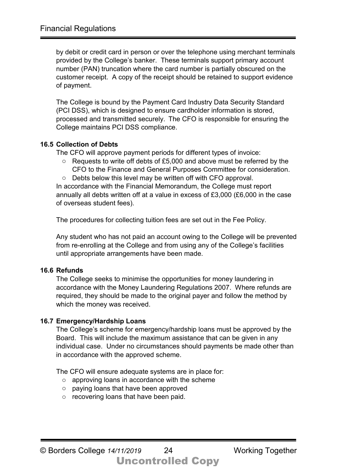by debit or credit card in person or over the telephone using merchant terminals provided by the College's banker. These terminals support primary account number (PAN) truncation where the card number is partially obscured on the customer receipt. A copy of the receipt should be retained to support evidence of payment.

The College is bound by the Payment Card Industry Data Security Standard (PCI DSS), which is designed to ensure cardholder information is stored, processed and transmitted securely. The CFO is responsible for ensuring the College maintains PCI DSS compliance.

#### **16.5 Collection of Debts**

The CFO will approve payment periods for different types of invoice:

- o Requests to write off debts of £5,000 and above must be referred by the CFO to the Finance and General Purposes Committee for consideration.
- o Debts below this level may be written off with CFO approval.

In accordance with the Financial Memorandum, the College must report annually all debts written off at a value in excess of £3,000 (£6,000 in the case of overseas student fees).

The procedures for collecting tuition fees are set out in the Fee Policy.

Any student who has not paid an account owing to the College will be prevented from re-enrolling at the College and from using any of the College's facilities until appropriate arrangements have been made.

#### **16.6 Refunds**

The College seeks to minimise the opportunities for money laundering in accordance with the Money Laundering Regulations 2007. Where refunds are required, they should be made to the original payer and follow the method by which the money was received.

#### **16.7 Emergency/Hardship Loans**

The College's scheme for emergency/hardship loans must be approved by the Board. This will include the maximum assistance that can be given in any individual case. Under no circumstances should payments be made other than in accordance with the approved scheme.

The CFO will ensure adequate systems are in place for:

- o approving loans in accordance with the scheme
- o paying loans that have been approved
- o recovering loans that have been paid.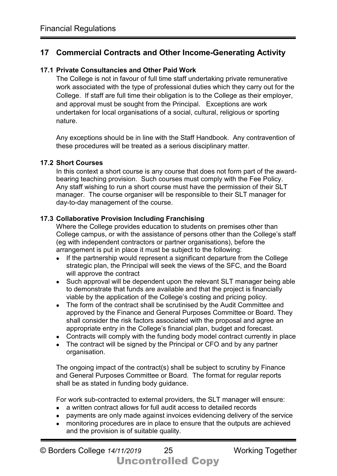#### **17 Commercial Contracts and Other Income-Generating Activity**

#### **17.1 Private Consultancies and Other Paid Work**

The College is not in favour of full time staff undertaking private remunerative work associated with the type of professional duties which they carry out for the College. If staff are full time their obligation is to the College as their employer, and approval must be sought from the Principal. Exceptions are work undertaken for local organisations of a social, cultural, religious or sporting nature.

Any exceptions should be in line with the Staff Handbook. Any contravention of these procedures will be treated as a serious disciplinary matter.

#### **17.2 Short Courses**

In this context a short course is any course that does not form part of the awardbearing teaching provision. Such courses must comply with the Fee Policy. Any staff wishing to run a short course must have the permission of their SLT manager. The course organiser will be responsible to their SLT manager for day-to-day management of the course.

#### **17.3 Collaborative Provision Including Franchising**

Where the College provides education to students on premises other than College campus, or with the assistance of persons other than the College's staff (eg with independent contractors or partner organisations), before the arrangement is put in place it must be subject to the following:

- If the partnership would represent a significant departure from the College strategic plan, the Principal will seek the views of the SFC, and the Board will approve the contract
- Such approval will be dependent upon the relevant SLT manager being able to demonstrate that funds are available and that the project is financially viable by the application of the College's costing and pricing policy.
- The form of the contract shall be scrutinised by the Audit Committee and approved by the Finance and General Purposes Committee or Board. They shall consider the risk factors associated with the proposal and agree an appropriate entry in the College's financial plan, budget and forecast.
- Contracts will comply with the funding body model contract currently in place
- The contract will be signed by the Principal or CFO and by any partner organisation.

The ongoing impact of the contract(s) shall be subject to scrutiny by Finance and General Purposes Committee or Board. The format for regular reports shall be as stated in funding body guidance.

For work sub-contracted to external providers, the SLT manager will ensure:

- a written contract allows for full audit access to detailed records
- payments are only made against invoices evidencing delivery of the service
- monitoring procedures are in place to ensure that the outputs are achieved and the provision is of suitable quality.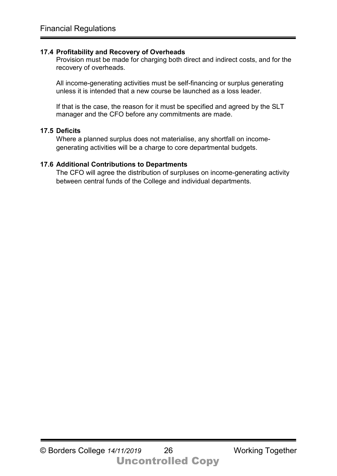#### **17.4 Profitability and Recovery of Overheads**

Provision must be made for charging both direct and indirect costs, and for the recovery of overheads.

All income-generating activities must be self-financing or surplus generating unless it is intended that a new course be launched as a loss leader.

If that is the case, the reason for it must be specified and agreed by the SLT manager and the CFO before any commitments are made.

#### **17.5 Deficits**

Where a planned surplus does not materialise, any shortfall on incomegenerating activities will be a charge to core departmental budgets.

#### **17.6 Additional Contributions to Departments**

The CFO will agree the distribution of surpluses on income-generating activity between central funds of the College and individual departments.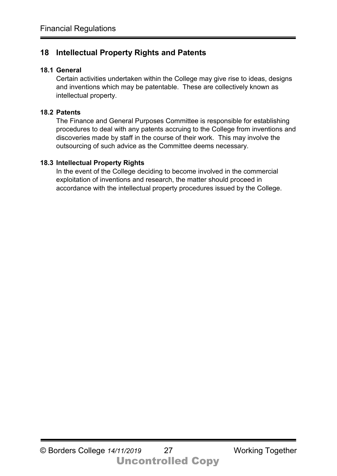## **18 Intellectual Property Rights and Patents**

#### **18.1 General**

Certain activities undertaken within the College may give rise to ideas, designs and inventions which may be patentable. These are collectively known as intellectual property.

#### **18.2 Patents**

The Finance and General Purposes Committee is responsible for establishing procedures to deal with any patents accruing to the College from inventions and discoveries made by staff in the course of their work. This may involve the outsourcing of such advice as the Committee deems necessary.

#### **18.3 Intellectual Property Rights**

In the event of the College deciding to become involved in the commercial exploitation of inventions and research, the matter should proceed in accordance with the intellectual property procedures issued by the College.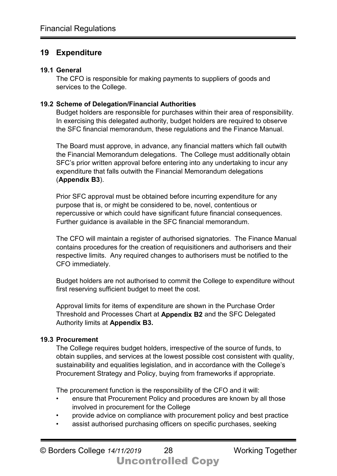#### **19 Expenditure**

#### **19.1 General**

The CFO is responsible for making payments to suppliers of goods and services to the College.

#### **19.2 Scheme of Delegation/Financial Authorities**

Budget holders are responsible for purchases within their area of responsibility. In exercising this delegated authority, budget holders are required to observe the SFC financial memorandum, these regulations and the Finance Manual.

The Board must approve, in advance, any financial matters which fall outwith the Financial Memorandum delegations. The College must additionally obtain SFC's prior written approval before entering into any undertaking to incur any expenditure that falls outwith the Financial Memorandum delegations (**Appendix B3**).

Prior SFC approval must be obtained before incurring expenditure for any purpose that is, or might be considered to be, novel, contentious or repercussive or which could have significant future financial consequences. Further guidance is available in the SFC financial memorandum.

The CFO will maintain a register of authorised signatories. The Finance Manual contains procedures for the creation of requisitioners and authorisers and their respective limits. Any required changes to authorisers must be notified to the CFO immediately.

Budget holders are not authorised to commit the College to expenditure without first reserving sufficient budget to meet the cost.

Approval limits for items of expenditure are shown in the Purchase Order Threshold and Processes Chart at **Appendix B2** and the SFC Delegated Authority limits at **Appendix B3.**

#### **19.3 Procurement**

The College requires budget holders, irrespective of the source of funds, to obtain supplies, and services at the lowest possible cost consistent with quality, sustainability and equalities legislation, and in accordance with the College's Procurement Strategy and Policy, buying from frameworks if appropriate.

The procurement function is the responsibility of the CFO and it will:

- ensure that Procurement Policy and procedures are known by all those involved in procurement for the College
- provide advice on compliance with procurement policy and best practice
- assist authorised purchasing officers on specific purchases, seeking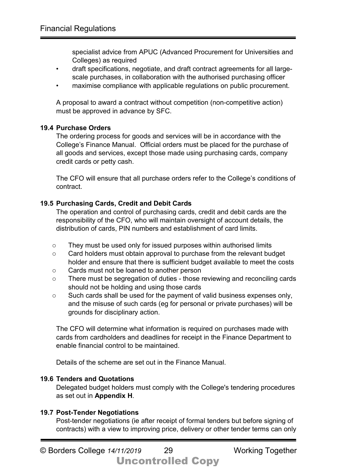specialist advice from APUC (Advanced Procurement for Universities and Colleges) as required

- draft specifications, negotiate, and draft contract agreements for all largescale purchases, in collaboration with the authorised purchasing officer
- maximise compliance with applicable regulations on public procurement.

A proposal to award a contract without competition (non-competitive action) must be approved in advance by SFC.

#### **19.4 Purchase Orders**

The ordering process for goods and services will be in accordance with the College's Finance Manual. Official orders must be placed for the purchase of all goods and services, except those made using purchasing cards, company credit cards or petty cash.

The CFO will ensure that all purchase orders refer to the College's conditions of contract.

#### **19.5 Purchasing Cards, Credit and Debit Cards**

The operation and control of purchasing cards, credit and debit cards are the responsibility of the CFO, who will maintain oversight of account details, the distribution of cards, PIN numbers and establishment of card limits.

- o They must be used only for issued purposes within authorised limits
- o Card holders must obtain approval to purchase from the relevant budget holder and ensure that there is sufficient budget available to meet the costs
- o Cards must not be loaned to another person
- o There must be segregation of duties those reviewing and reconciling cards should not be holding and using those cards
- o Such cards shall be used for the payment of valid business expenses only, and the misuse of such cards (eg for personal or private purchases) will be grounds for disciplinary action.

The CFO will determine what information is required on purchases made with cards from cardholders and deadlines for receipt in the Finance Department to enable financial control to be maintained.

Details of the scheme are set out in the Finance Manual.

#### **19.6 Tenders and Quotations**

Delegated budget holders must comply with the College's tendering procedures as set out in **Appendix H**.

#### **19.7 Post-Tender Negotiations**

Post-tender negotiations (ie after receipt of formal tenders but before signing of contracts) with a view to improving price, delivery or other tender terms can only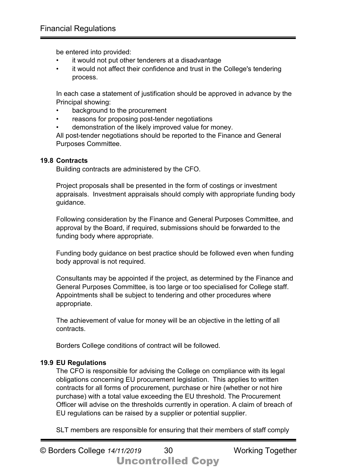be entered into provided:

- it would not put other tenderers at a disadvantage
- it would not affect their confidence and trust in the College's tendering process.

In each case a statement of justification should be approved in advance by the Principal showing:

- background to the procurement
- reasons for proposing post-tender negotiations
- demonstration of the likely improved value for money.

All post-tender negotiations should be reported to the Finance and General Purposes Committee.

#### **19.8 Contracts**

Building contracts are administered by the CFO.

Project proposals shall be presented in the form of costings or investment appraisals. Investment appraisals should comply with appropriate funding body guidance.

Following consideration by the Finance and General Purposes Committee, and approval by the Board, if required, submissions should be forwarded to the funding body where appropriate.

Funding body guidance on best practice should be followed even when funding body approval is not required.

Consultants may be appointed if the project, as determined by the Finance and General Purposes Committee, is too large or too specialised for College staff. Appointments shall be subject to tendering and other procedures where appropriate.

The achievement of value for money will be an objective in the letting of all contracts.

Borders College conditions of contract will be followed.

#### **19.9 EU Regulations**

The CFO is responsible for advising the College on compliance with its legal obligations concerning EU procurement legislation. This applies to written contracts for all forms of procurement, purchase or hire (whether or not hire purchase) with a total value exceeding the EU threshold. The Procurement Officer will advise on the thresholds currently in operation. A claim of breach of EU regulations can be raised by a supplier or potential supplier.

SLT members are responsible for ensuring that their members of staff comply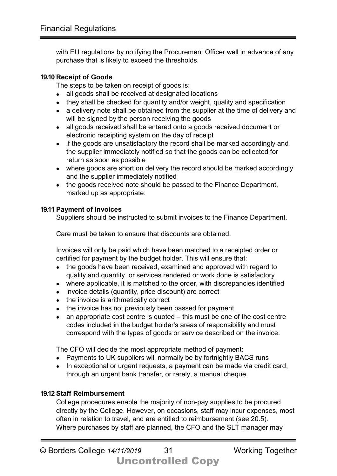with EU regulations by notifying the Procurement Officer well in advance of any purchase that is likely to exceed the thresholds.

#### **19.10 Receipt of Goods**

The steps to be taken on receipt of goods is:

- all goods shall be received at designated locations
- they shall be checked for quantity and/or weight, quality and specification
- a delivery note shall be obtained from the supplier at the time of delivery and will be signed by the person receiving the goods
- all goods received shall be entered onto a goods received document or electronic receipting system on the day of receipt
- if the goods are unsatisfactory the record shall be marked accordingly and the supplier immediately notified so that the goods can be collected for return as soon as possible
- where goods are short on delivery the record should be marked accordingly and the supplier immediately notified
- the goods received note should be passed to the Finance Department, marked up as appropriate.

#### **19.11 Payment of Invoices**

Suppliers should be instructed to submit invoices to the Finance Department.

Care must be taken to ensure that discounts are obtained.

Invoices will only be paid which have been matched to a receipted order or certified for payment by the budget holder. This will ensure that:

- the goods have been received, examined and approved with regard to quality and quantity, or services rendered or work done is satisfactory
- where applicable, it is matched to the order, with discrepancies identified
- invoice details (quantity, price discount) are correct
- the invoice is arithmetically correct
- the invoice has not previously been passed for payment
- an appropriate cost centre is quoted this must be one of the cost centre codes included in the budget holder's areas of responsibility and must correspond with the types of goods or service described on the invoice.

The CFO will decide the most appropriate method of payment:

- Payments to UK suppliers will normally be by fortnightly BACS runs
- In exceptional or urgent requests, a payment can be made via credit card, through an urgent bank transfer, or rarely, a manual cheque.

#### **19.12 Staff Reimbursement**

College procedures enable the majority of non-pay supplies to be procured directly by the College. However, on occasions, staff may incur expenses, most often in relation to travel, and are entitled to reimbursement (see 20.5). Where purchases by staff are planned, the CFO and the SLT manager may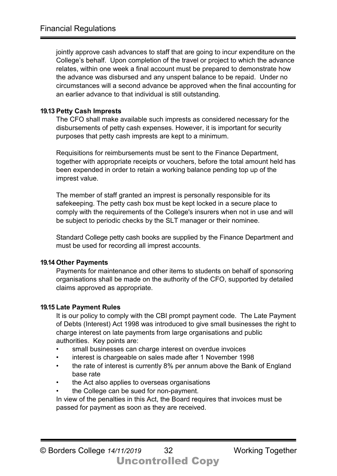jointly approve cash advances to staff that are going to incur expenditure on the College's behalf. Upon completion of the travel or project to which the advance relates, within one week a final account must be prepared to demonstrate how the advance was disbursed and any unspent balance to be repaid. Under no circumstances will a second advance be approved when the final accounting for an earlier advance to that individual is still outstanding.

#### **19.13 Petty Cash Imprests**

The CFO shall make available such imprests as considered necessary for the disbursements of petty cash expenses. However, it is important for security purposes that petty cash imprests are kept to a minimum.

Requisitions for reimbursements must be sent to the Finance Department, together with appropriate receipts or vouchers, before the total amount held has been expended in order to retain a working balance pending top up of the imprest value.

The member of staff granted an imprest is personally responsible for its safekeeping. The petty cash box must be kept locked in a secure place to comply with the requirements of the College's insurers when not in use and will be subject to periodic checks by the SLT manager or their nominee.

Standard College petty cash books are supplied by the Finance Department and must be used for recording all imprest accounts.

#### **19.14 Other Payments**

Payments for maintenance and other items to students on behalf of sponsoring organisations shall be made on the authority of the CFO, supported by detailed claims approved as appropriate.

#### **19.15 Late Payment Rules**

It is our policy to comply with the CBI prompt payment code. The Late Payment of Debts (Interest) Act 1998 was introduced to give small businesses the right to charge interest on late payments from large organisations and public authorities. Key points are:

- small businesses can charge interest on overdue invoices
- interest is chargeable on sales made after 1 November 1998
- the rate of interest is currently 8% per annum above the Bank of England base rate
- the Act also applies to overseas organisations
- the College can be sued for non-payment.

In view of the penalties in this Act, the Board requires that invoices must be passed for payment as soon as they are received.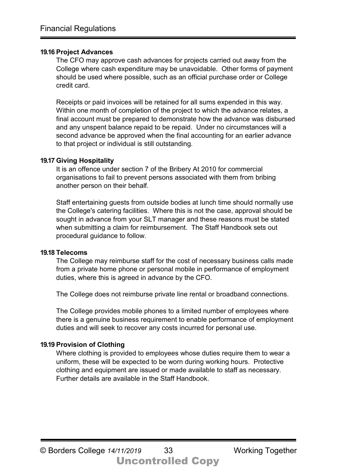#### **19.16 Project Advances**

The CFO may approve cash advances for projects carried out away from the College where cash expenditure may be unavoidable. Other forms of payment should be used where possible, such as an official purchase order or College credit card.

Receipts or paid invoices will be retained for all sums expended in this way. Within one month of completion of the project to which the advance relates, a final account must be prepared to demonstrate how the advance was disbursed and any unspent balance repaid to be repaid. Under no circumstances will a second advance be approved when the final accounting for an earlier advance to that project or individual is still outstanding.

#### **19.17 Giving Hospitality**

It is an offence under section 7 of the Bribery At 2010 for commercial organisations to fail to prevent persons associated with them from bribing another person on their behalf.

Staff entertaining guests from outside bodies at lunch time should normally use the College's catering facilities. Where this is not the case, approval should be sought in advance from your SLT manager and these reasons must be stated when submitting a claim for reimbursement. The Staff Handbook sets out procedural guidance to follow.

#### **19.18 Telecoms**

The College may reimburse staff for the cost of necessary business calls made from a private home phone or personal mobile in performance of employment duties, where this is agreed in advance by the CFO.

The College does not reimburse private line rental or broadband connections.

The College provides mobile phones to a limited number of employees where there is a genuine business requirement to enable performance of employment duties and will seek to recover any costs incurred for personal use.

#### **19.19 Provision of Clothing**

Where clothing is provided to employees whose duties require them to wear a uniform, these will be expected to be worn during working hours. Protective clothing and equipment are issued or made available to staff as necessary. Further details are available in the Staff Handbook.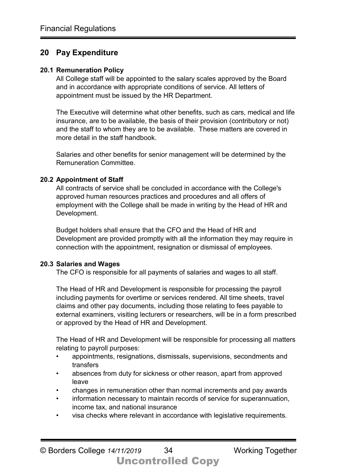#### **20 Pay Expenditure**

#### **20.1 Remuneration Policy**

All College staff will be appointed to the salary scales approved by the Board and in accordance with appropriate conditions of service. All letters of appointment must be issued by the HR Department.

The Executive will determine what other benefits, such as cars, medical and life insurance, are to be available, the basis of their provision (contributory or not) and the staff to whom they are to be available. These matters are covered in more detail in the staff handbook.

Salaries and other benefits for senior management will be determined by the Remuneration Committee.

#### **20.2 Appointment of Staff**

All contracts of service shall be concluded in accordance with the College's approved human resources practices and procedures and all offers of employment with the College shall be made in writing by the Head of HR and Development.

Budget holders shall ensure that the CFO and the Head of HR and Development are provided promptly with all the information they may require in connection with the appointment, resignation or dismissal of employees.

#### **20.3 Salaries and Wages**

The CFO is responsible for all payments of salaries and wages to all staff.

The Head of HR and Development is responsible for processing the payroll including payments for overtime or services rendered. All time sheets, travel claims and other pay documents, including those relating to fees payable to external examiners, visiting lecturers or researchers, will be in a form prescribed or approved by the Head of HR and Development.

The Head of HR and Development will be responsible for processing all matters relating to payroll purposes:

- appointments, resignations, dismissals, supervisions, secondments and transfers
- absences from duty for sickness or other reason, apart from approved leave
- changes in remuneration other than normal increments and pay awards
- information necessary to maintain records of service for superannuation, income tax, and national insurance
- visa checks where relevant in accordance with legislative requirements.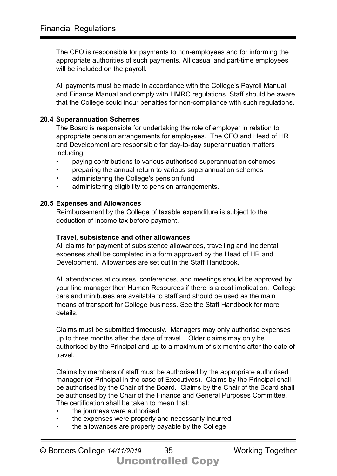The CFO is responsible for payments to non-employees and for informing the appropriate authorities of such payments. All casual and part-time employees will be included on the payroll.

All payments must be made in accordance with the College's Payroll Manual and Finance Manual and comply with HMRC regulations. Staff should be aware that the College could incur penalties for non-compliance with such regulations.

#### **20.4 Superannuation Schemes**

The Board is responsible for undertaking the role of employer in relation to appropriate pension arrangements for employees. The CFO and Head of HR and Development are responsible for day-to-day superannuation matters including:

- paying contributions to various authorised superannuation schemes
- preparing the annual return to various superannuation schemes
- administering the College's pension fund
- administering eligibility to pension arrangements.

#### **20.5 Expenses and Allowances**

Reimbursement by the College of taxable expenditure is subject to the deduction of income tax before payment.

#### **Travel, subsistence and other allowances**

All claims for payment of subsistence allowances, travelling and incidental expenses shall be completed in a form approved by the Head of HR and Development. Allowances are set out in the Staff Handbook.

All attendances at courses, conferences, and meetings should be approved by your line manager then Human Resources if there is a cost implication. College cars and minibuses are available to staff and should be used as the main means of transport for College business. See the Staff Handbook for more details.

Claims must be submitted timeously. Managers may only authorise expenses up to three months after the date of travel. Older claims may only be authorised by the Principal and up to a maximum of six months after the date of travel.

Claims by members of staff must be authorised by the appropriate authorised manager (or Principal in the case of Executives). Claims by the Principal shall be authorised by the Chair of the Board. Claims by the Chair of the Board shall be authorised by the Chair of the Finance and General Purposes Committee. The certification shall be taken to mean that:

- the journeys were authorised
- the expenses were properly and necessarily incurred
- the allowances are properly payable by the College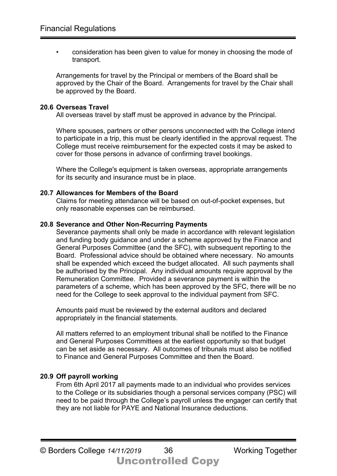• consideration has been given to value for money in choosing the mode of transport.

Arrangements for travel by the Principal or members of the Board shall be approved by the Chair of the Board. Arrangements for travel by the Chair shall be approved by the Board.

#### **20.6 Overseas Travel**

All overseas travel by staff must be approved in advance by the Principal.

Where spouses, partners or other persons unconnected with the College intend to participate in a trip, this must be clearly identified in the approval request. The College must receive reimbursement for the expected costs it may be asked to cover for those persons in advance of confirming travel bookings.

Where the College's equipment is taken overseas, appropriate arrangements for its security and insurance must be in place.

#### **20.7 Allowances for Members of the Board**

Claims for meeting attendance will be based on out-of-pocket expenses, but only reasonable expenses can be reimbursed.

#### **20.8 Severance and Other Non-Recurring Payments**

Severance payments shall only be made in accordance with relevant legislation and funding body guidance and under a scheme approved by the Finance and General Purposes Committee (and the SFC), with subsequent reporting to the Board. Professional advice should be obtained where necessary. No amounts shall be expended which exceed the budget allocated. All such payments shall be authorised by the Principal. Any individual amounts require approval by the Remuneration Committee. Provided a severance payment is within the parameters of a scheme, which has been approved by the SFC, there will be no need for the College to seek approval to the individual payment from SFC.

Amounts paid must be reviewed by the external auditors and declared appropriately in the financial statements.

All matters referred to an employment tribunal shall be notified to the Finance and General Purposes Committees at the earliest opportunity so that budget can be set aside as necessary. All outcomes of tribunals must also be notified to Finance and General Purposes Committee and then the Board.

#### **20.9 Off payroll working**

From 6th April 2017 all payments made to an individual who provides services to the College or its subsidiaries though a personal services company (PSC) will need to be paid through the College's payroll unless the engager can certify that they are not liable for PAYE and National Insurance deductions.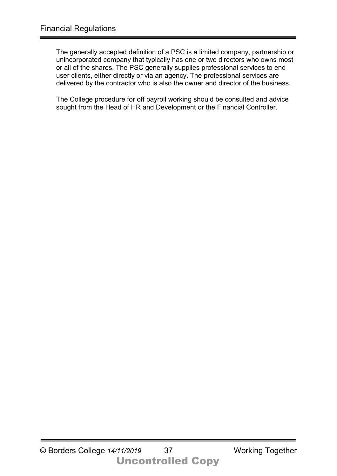The generally accepted definition of a PSC is a limited company, partnership or unincorporated company that typically has one or two directors who owns most or all of the shares. The PSC generally supplies professional services to end user clients, either directly or via an agency. The professional services are delivered by the contractor who is also the owner and director of the business.

The College procedure for off payroll working should be consulted and advice sought from the Head of HR and Development or the Financial Controller.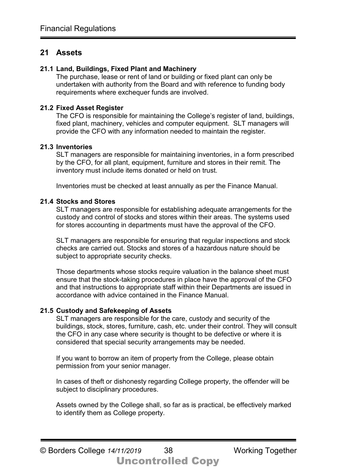#### **21 Assets**

#### **21.1 Land, Buildings, Fixed Plant and Machinery**

The purchase, lease or rent of land or building or fixed plant can only be undertaken with authority from the Board and with reference to funding body requirements where exchequer funds are involved.

#### **21.2 Fixed Asset Register**

The CFO is responsible for maintaining the College's register of land, buildings, fixed plant, machinery, vehicles and computer equipment. SLT managers will provide the CFO with any information needed to maintain the register.

#### **21.3 Inventories**

SLT managers are responsible for maintaining inventories, in a form prescribed by the CFO, for all plant, equipment, furniture and stores in their remit. The inventory must include items donated or held on trust.

Inventories must be checked at least annually as per the Finance Manual.

#### **21.4 Stocks and Stores**

SLT managers are responsible for establishing adequate arrangements for the custody and control of stocks and stores within their areas. The systems used for stores accounting in departments must have the approval of the CFO.

SLT managers are responsible for ensuring that regular inspections and stock checks are carried out. Stocks and stores of a hazardous nature should be subject to appropriate security checks.

Those departments whose stocks require valuation in the balance sheet must ensure that the stock-taking procedures in place have the approval of the CFO and that instructions to appropriate staff within their Departments are issued in accordance with advice contained in the Finance Manual.

#### **21.5 Custody and Safekeeping of Assets**

SLT managers are responsible for the care, custody and security of the buildings, stock, stores, furniture, cash, etc. under their control. They will consult the CFO in any case where security is thought to be defective or where it is considered that special security arrangements may be needed.

If you want to borrow an item of property from the College, please obtain permission from your senior manager.

In cases of theft or dishonesty regarding College property, the offender will be subject to disciplinary procedures.

Assets owned by the College shall, so far as is practical, be effectively marked to identify them as College property.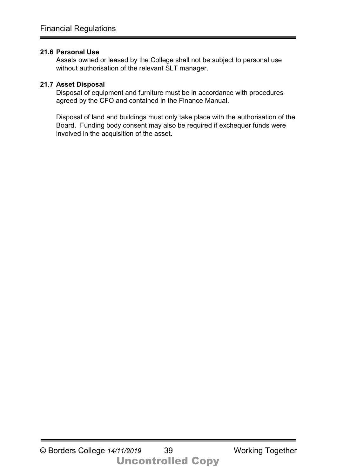#### **21.6 Personal Use**

Assets owned or leased by the College shall not be subject to personal use without authorisation of the relevant SLT manager.

#### **21.7 Asset Disposal**

Disposal of equipment and furniture must be in accordance with procedures agreed by the CFO and contained in the Finance Manual.

Disposal of land and buildings must only take place with the authorisation of the Board. Funding body consent may also be required if exchequer funds were involved in the acquisition of the asset.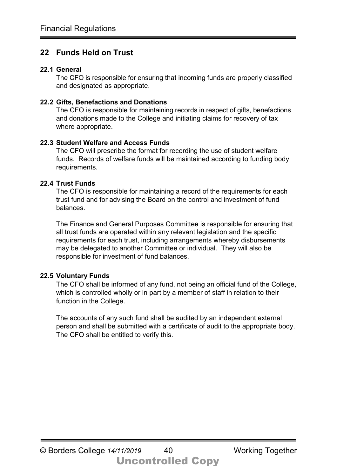#### **22 Funds Held on Trust**

#### **22.1 General**

The CFO is responsible for ensuring that incoming funds are properly classified and designated as appropriate.

#### **22.2 Gifts, Benefactions and Donations**

The CFO is responsible for maintaining records in respect of gifts, benefactions and donations made to the College and initiating claims for recovery of tax where appropriate.

#### **22.3 Student Welfare and Access Funds**

The CFO will prescribe the format for recording the use of student welfare funds. Records of welfare funds will be maintained according to funding body requirements.

#### **22.4 Trust Funds**

The CFO is responsible for maintaining a record of the requirements for each trust fund and for advising the Board on the control and investment of fund balances.

The Finance and General Purposes Committee is responsible for ensuring that all trust funds are operated within any relevant legislation and the specific requirements for each trust, including arrangements whereby disbursements may be delegated to another Committee or individual. They will also be responsible for investment of fund balances.

#### **22.5 Voluntary Funds**

The CFO shall be informed of any fund, not being an official fund of the College, which is controlled wholly or in part by a member of staff in relation to their function in the College.

The accounts of any such fund shall be audited by an independent external person and shall be submitted with a certificate of audit to the appropriate body. The CFO shall be entitled to verify this.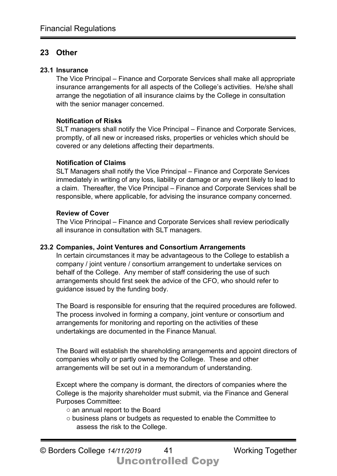#### **23 Other**

#### **23.1 Insurance**

The Vice Principal – Finance and Corporate Services shall make all appropriate insurance arrangements for all aspects of the College's activities. He/she shall arrange the negotiation of all insurance claims by the College in consultation with the senior manager concerned.

#### **Notification of Risks**

SLT managers shall notify the Vice Principal – Finance and Corporate Services, promptly, of all new or increased risks, properties or vehicles which should be covered or any deletions affecting their departments.

#### **Notification of Claims**

SLT Managers shall notify the Vice Principal – Finance and Corporate Services immediately in writing of any loss, liability or damage or any event likely to lead to a claim. Thereafter, the Vice Principal – Finance and Corporate Services shall be responsible, where applicable, for advising the insurance company concerned.

#### **Review of Cover**

The Vice Principal – Finance and Corporate Services shall review periodically all insurance in consultation with SLT managers.

#### **23.2 Companies, Joint Ventures and Consortium Arrangements**

In certain circumstances it may be advantageous to the College to establish a company / joint venture / consortium arrangement to undertake services on behalf of the College. Any member of staff considering the use of such arrangements should first seek the advice of the CFO, who should refer to guidance issued by the funding body.

The Board is responsible for ensuring that the required procedures are followed. The process involved in forming a company, joint venture or consortium and arrangements for monitoring and reporting on the activities of these undertakings are documented in the Finance Manual.

The Board will establish the shareholding arrangements and appoint directors of companies wholly or partly owned by the College. These and other arrangements will be set out in a memorandum of understanding.

Except where the company is dormant, the directors of companies where the College is the majority shareholder must submit, via the Finance and General Purposes Committee:

- o an annual report to the Board
- o business plans or budgets as requested to enable the Committee to assess the risk to the College.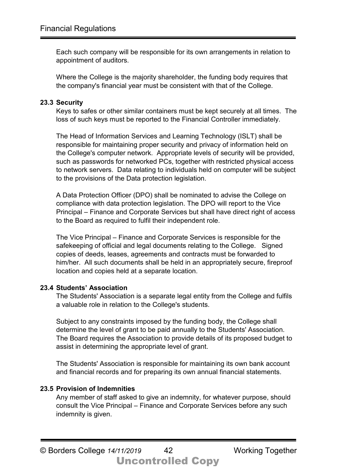Each such company will be responsible for its own arrangements in relation to appointment of auditors.

Where the College is the majority shareholder, the funding body requires that the company's financial year must be consistent with that of the College.

#### **23.3 Security**

Keys to safes or other similar containers must be kept securely at all times. The loss of such keys must be reported to the Financial Controller immediately.

The Head of Information Services and Learning Technology (ISLT) shall be responsible for maintaining proper security and privacy of information held on the College's computer network. Appropriate levels of security will be provided, such as passwords for networked PCs, together with restricted physical access to network servers. Data relating to individuals held on computer will be subject to the provisions of the Data protection legislation.

A Data Protection Officer (DPO) shall be nominated to advise the College on compliance with data protection legislation. The DPO will report to the Vice Principal – Finance and Corporate Services but shall have direct right of access to the Board as required to fulfil their independent role.

The Vice Principal – Finance and Corporate Services is responsible for the safekeeping of official and legal documents relating to the College. Signed copies of deeds, leases, agreements and contracts must be forwarded to him/her. All such documents shall be held in an appropriately secure, fireproof location and copies held at a separate location.

#### **23.4 Students' Association**

The Students' Association is a separate legal entity from the College and fulfils a valuable role in relation to the College's students.

Subject to any constraints imposed by the funding body, the College shall determine the level of grant to be paid annually to the Students' Association. The Board requires the Association to provide details of its proposed budget to assist in determining the appropriate level of grant.

The Students' Association is responsible for maintaining its own bank account and financial records and for preparing its own annual financial statements.

#### **23.5 Provision of Indemnities**

Any member of staff asked to give an indemnity, for whatever purpose, should consult the Vice Principal – Finance and Corporate Services before any such indemnity is given.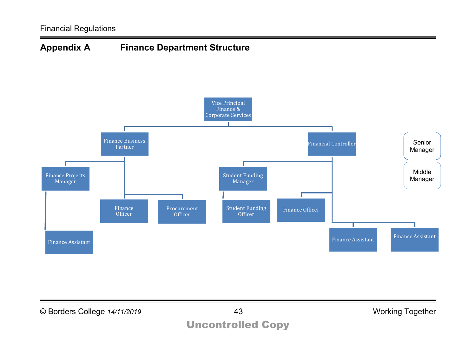

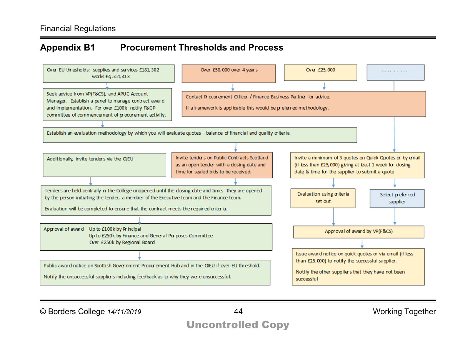## **Appendix B1 Procurement Thresholds and Process**



© Borders College *14/11/2019* 44 Working Together

## Uncontrolled Copy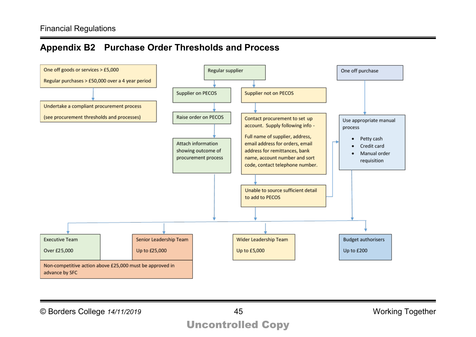## **Appendix B2 Purchase Order Thresholds and Process**



© Borders College *14/11/2019* 45 Working Together

## Uncontrolled Copy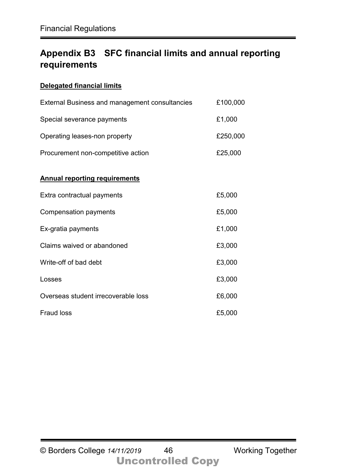## **Appendix B3 SFC financial limits and annual reporting requirements**

#### **Delegated financial limits**

| <b>External Business and management consultancies</b> | £100,000 |
|-------------------------------------------------------|----------|
| Special severance payments                            | £1,000   |
| Operating leases-non property                         | £250,000 |
| Procurement non-competitive action                    | £25,000  |
| <b>Annual reporting requirements</b>                  |          |
| Extra contractual payments                            | £5,000   |
| Compensation payments                                 | £5,000   |
| Ex-gratia payments                                    | £1,000   |
| Claims waived or abandoned                            | £3,000   |
| Write-off of bad debt                                 | £3,000   |
| Losses                                                | £3,000   |
| Overseas student irrecoverable loss                   | £6,000   |
| <b>Fraud loss</b>                                     | £5,000   |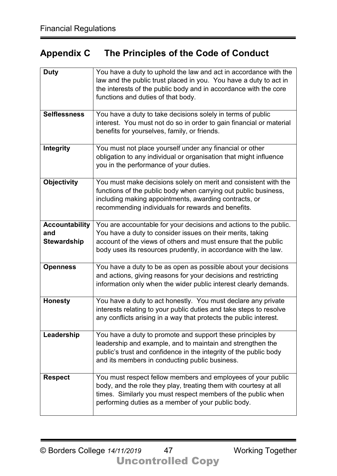## **Appendix C The Principles of the Code of Conduct**

| <b>Duty</b>                                        | You have a duty to uphold the law and act in accordance with the<br>law and the public trust placed in you. You have a duty to act in<br>the interests of the public body and in accordance with the core<br>functions and duties of that body.                     |
|----------------------------------------------------|---------------------------------------------------------------------------------------------------------------------------------------------------------------------------------------------------------------------------------------------------------------------|
| <b>Selflessness</b>                                | You have a duty to take decisions solely in terms of public<br>interest. You must not do so in order to gain financial or material<br>benefits for yourselves, family, or friends.                                                                                  |
| Integrity                                          | You must not place yourself under any financial or other<br>obligation to any individual or organisation that might influence<br>you in the performance of your duties.                                                                                             |
| <b>Objectivity</b>                                 | You must make decisions solely on merit and consistent with the<br>functions of the public body when carrying out public business,<br>including making appointments, awarding contracts, or<br>recommending individuals for rewards and benefits.                   |
| <b>Accountability</b><br>and<br><b>Stewardship</b> | You are accountable for your decisions and actions to the public.<br>You have a duty to consider issues on their merits, taking<br>account of the views of others and must ensure that the public<br>body uses its resources prudently, in accordance with the law. |
| <b>Openness</b>                                    | You have a duty to be as open as possible about your decisions<br>and actions, giving reasons for your decisions and restricting<br>information only when the wider public interest clearly demands.                                                                |
| <b>Honesty</b>                                     | You have a duty to act honestly. You must declare any private<br>interests relating to your public duties and take steps to resolve<br>any conflicts arising in a way that protects the public interest.                                                            |
| Leadership                                         | You have a duty to promote and support these principles by<br>leadership and example, and to maintain and strengthen the<br>public's trust and confidence in the integrity of the public body<br>and its members in conducting public business.                     |
| <b>Respect</b>                                     | You must respect fellow members and employees of your public<br>body, and the role they play, treating them with courtesy at all<br>times. Similarly you must respect members of the public when<br>performing duties as a member of your public body.              |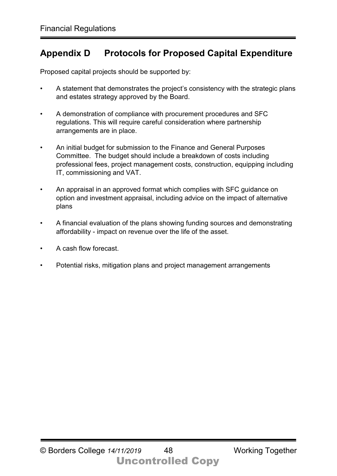## **Appendix D Protocols for Proposed Capital Expenditure**

Proposed capital projects should be supported by:

- A statement that demonstrates the project's consistency with the strategic plans and estates strategy approved by the Board.
- A demonstration of compliance with procurement procedures and SFC regulations. This will require careful consideration where partnership arrangements are in place.
- An initial budget for submission to the Finance and General Purposes Committee. The budget should include a breakdown of costs including professional fees, project management costs, construction, equipping including IT, commissioning and VAT.
- An appraisal in an approved format which complies with SFC guidance on option and investment appraisal, including advice on the impact of alternative plans
- A financial evaluation of the plans showing funding sources and demonstrating affordability - impact on revenue over the life of the asset.
- A cash flow forecast.
- Potential risks, mitigation plans and project management arrangements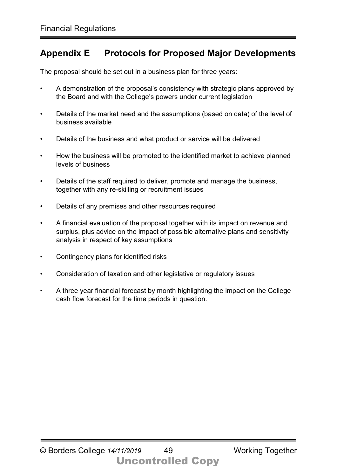## **Appendix E Protocols for Proposed Major Developments**

The proposal should be set out in a business plan for three years:

- A demonstration of the proposal's consistency with strategic plans approved by the Board and with the College's powers under current legislation
- Details of the market need and the assumptions (based on data) of the level of business available
- Details of the business and what product or service will be delivered
- How the business will be promoted to the identified market to achieve planned levels of business
- Details of the staff required to deliver, promote and manage the business, together with any re-skilling or recruitment issues
- Details of any premises and other resources required
- A financial evaluation of the proposal together with its impact on revenue and surplus, plus advice on the impact of possible alternative plans and sensitivity analysis in respect of key assumptions
- Contingency plans for identified risks
- Consideration of taxation and other legislative or regulatory issues
- A three year financial forecast by month highlighting the impact on the College cash flow forecast for the time periods in question.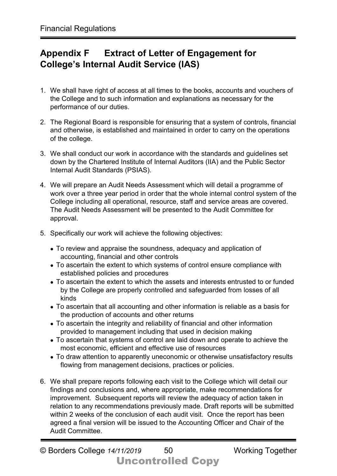## **Appendix F Extract of Letter of Engagement for College's Internal Audit Service (IAS)**

- 1. We shall have right of access at all times to the books, accounts and vouchers of the College and to such information and explanations as necessary for the performance of our duties.
- 2. The Regional Board is responsible for ensuring that a system of controls, financial and otherwise, is established and maintained in order to carry on the operations of the college.
- 3. We shall conduct our work in accordance with the standards and guidelines set down by the Chartered Institute of Internal Auditors (IIA) and the Public Sector Internal Audit Standards (PSIAS).
- 4. We will prepare an Audit Needs Assessment which will detail a programme of work over a three year period in order that the whole internal control system of the College including all operational, resource, staff and service areas are covered. The Audit Needs Assessment will be presented to the Audit Committee for approval.
- 5. Specifically our work will achieve the following objectives:
	- To review and appraise the soundness, adequacy and application of accounting, financial and other controls
	- To ascertain the extent to which systems of control ensure compliance with established policies and procedures
	- To ascertain the extent to which the assets and interests entrusted to or funded by the College are properly controlled and safeguarded from losses of all kinds
	- To ascertain that all accounting and other information is reliable as a basis for the production of accounts and other returns
	- To ascertain the integrity and reliability of financial and other information provided to management including that used in decision making
	- To ascertain that systems of control are laid down and operate to achieve the most economic, efficient and effective use of resources
	- To draw attention to apparently uneconomic or otherwise unsatisfactory results flowing from management decisions, practices or policies.
- 6. We shall prepare reports following each visit to the College which will detail our findings and conclusions and, where appropriate, make recommendations for improvement. Subsequent reports will review the adequacy of action taken in relation to any recommendations previously made. Draft reports will be submitted within 2 weeks of the conclusion of each audit visit. Once the report has been agreed a final version will be issued to the Accounting Officer and Chair of the Audit Committee.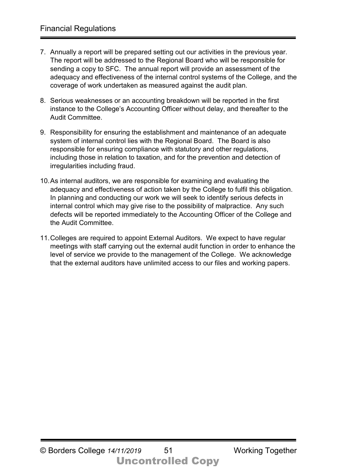- 7. Annually a report will be prepared setting out our activities in the previous year. The report will be addressed to the Regional Board who will be responsible for sending a copy to SFC. The annual report will provide an assessment of the adequacy and effectiveness of the internal control systems of the College, and the coverage of work undertaken as measured against the audit plan.
- 8. Serious weaknesses or an accounting breakdown will be reported in the first instance to the College's Accounting Officer without delay, and thereafter to the Audit Committee.
- 9. Responsibility for ensuring the establishment and maintenance of an adequate system of internal control lies with the Regional Board. The Board is also responsible for ensuring compliance with statutory and other regulations, including those in relation to taxation, and for the prevention and detection of irregularities including fraud.
- 10.As internal auditors, we are responsible for examining and evaluating the adequacy and effectiveness of action taken by the College to fulfil this obligation. In planning and conducting our work we will seek to identify serious defects in internal control which may give rise to the possibility of malpractice. Any such defects will be reported immediately to the Accounting Officer of the College and the Audit Committee.
- 11.Colleges are required to appoint External Auditors. We expect to have regular meetings with staff carrying out the external audit function in order to enhance the level of service we provide to the management of the College. We acknowledge that the external auditors have unlimited access to our files and working papers.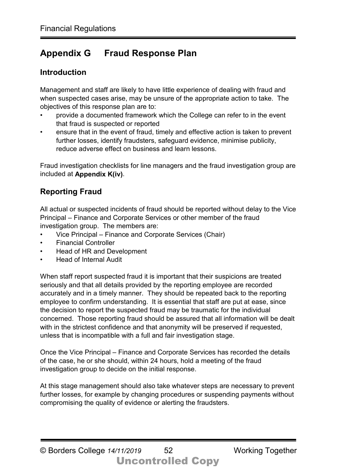## **Appendix G Fraud Response Plan**

#### **Introduction**

Management and staff are likely to have little experience of dealing with fraud and when suspected cases arise, may be unsure of the appropriate action to take. The objectives of this response plan are to:

- provide a documented framework which the College can refer to in the event that fraud is suspected or reported
- ensure that in the event of fraud, timely and effective action is taken to prevent further losses, identify fraudsters, safeguard evidence, minimise publicity, reduce adverse effect on business and learn lessons.

Fraud investigation checklists for line managers and the fraud investigation group are included at **Appendix K(iv)**.

#### **Reporting Fraud**

All actual or suspected incidents of fraud should be reported without delay to the Vice Principal – Finance and Corporate Services or other member of the fraud investigation group. The members are:

- Vice Principal Finance and Corporate Services (Chair)
- Financial Controller
- Head of HR and Development
- Head of Internal Audit

When staff report suspected fraud it is important that their suspicions are treated seriously and that all details provided by the reporting employee are recorded accurately and in a timely manner. They should be repeated back to the reporting employee to confirm understanding. It is essential that staff are put at ease, since the decision to report the suspected fraud may be traumatic for the individual concerned. Those reporting fraud should be assured that all information will be dealt with in the strictest confidence and that anonymity will be preserved if requested. unless that is incompatible with a full and fair investigation stage.

Once the Vice Principal – Finance and Corporate Services has recorded the details of the case, he or she should, within 24 hours, hold a meeting of the fraud investigation group to decide on the initial response.

At this stage management should also take whatever steps are necessary to prevent further losses, for example by changing procedures or suspending payments without compromising the quality of evidence or alerting the fraudsters.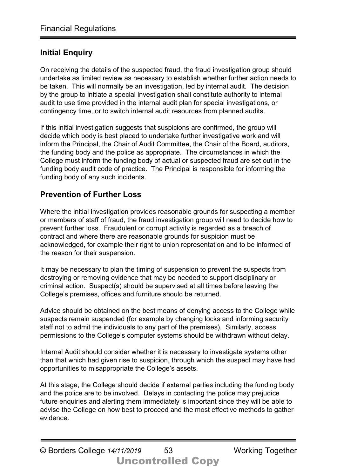#### **Initial Enquiry**

On receiving the details of the suspected fraud, the fraud investigation group should undertake as limited review as necessary to establish whether further action needs to be taken. This will normally be an investigation, led by internal audit. The decision by the group to initiate a special investigation shall constitute authority to internal audit to use time provided in the internal audit plan for special investigations, or contingency time, or to switch internal audit resources from planned audits.

If this initial investigation suggests that suspicions are confirmed, the group will decide which body is best placed to undertake further investigative work and will inform the Principal, the Chair of Audit Committee, the Chair of the Board, auditors, the funding body and the police as appropriate. The circumstances in which the College must inform the funding body of actual or suspected fraud are set out in the funding body audit code of practice. The Principal is responsible for informing the funding body of any such incidents.

#### **Prevention of Further Loss**

Where the initial investigation provides reasonable grounds for suspecting a member or members of staff of fraud, the fraud investigation group will need to decide how to prevent further loss. Fraudulent or corrupt activity is regarded as a breach of contract and where there are reasonable grounds for suspicion must be acknowledged, for example their right to union representation and to be informed of the reason for their suspension.

It may be necessary to plan the timing of suspension to prevent the suspects from destroying or removing evidence that may be needed to support disciplinary or criminal action. Suspect(s) should be supervised at all times before leaving the College's premises, offices and furniture should be returned.

Advice should be obtained on the best means of denying access to the College while suspects remain suspended (for example by changing locks and informing security staff not to admit the individuals to any part of the premises). Similarly, access permissions to the College's computer systems should be withdrawn without delay.

Internal Audit should consider whether it is necessary to investigate systems other than that which had given rise to suspicion, through which the suspect may have had opportunities to misappropriate the College's assets.

At this stage, the College should decide if external parties including the funding body and the police are to be involved. Delays in contacting the police may prejudice future enquiries and alerting them immediately is important since they will be able to advise the College on how best to proceed and the most effective methods to gather evidence.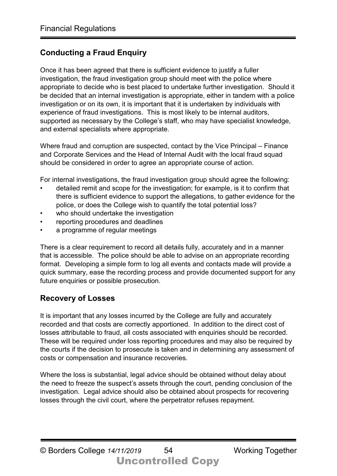## **Conducting a Fraud Enquiry**

Once it has been agreed that there is sufficient evidence to justify a fuller investigation, the fraud investigation group should meet with the police where appropriate to decide who is best placed to undertake further investigation. Should it be decided that an internal investigation is appropriate, either in tandem with a police investigation or on its own, it is important that it is undertaken by individuals with experience of fraud investigations. This is most likely to be internal auditors, supported as necessary by the College's staff, who may have specialist knowledge, and external specialists where appropriate.

Where fraud and corruption are suspected, contact by the Vice Principal – Finance and Corporate Services and the Head of Internal Audit with the local fraud squad should be considered in order to agree an appropriate course of action.

For internal investigations, the fraud investigation group should agree the following:

- detailed remit and scope for the investigation; for example, is it to confirm that there is sufficient evidence to support the allegations, to gather evidence for the police, or does the College wish to quantify the total potential loss?
- who should undertake the investigation
- reporting procedures and deadlines
- a programme of regular meetings

There is a clear requirement to record all details fully, accurately and in a manner that is accessible. The police should be able to advise on an appropriate recording format. Developing a simple form to log all events and contacts made will provide a quick summary, ease the recording process and provide documented support for any future enquiries or possible prosecution.

#### **Recovery of Losses**

It is important that any losses incurred by the College are fully and accurately recorded and that costs are correctly apportioned. In addition to the direct cost of losses attributable to fraud, all costs associated with enquiries should be recorded. These will be required under loss reporting procedures and may also be required by the courts if the decision to prosecute is taken and in determining any assessment of costs or compensation and insurance recoveries.

Where the loss is substantial, legal advice should be obtained without delay about the need to freeze the suspect's assets through the court, pending conclusion of the investigation. Legal advice should also be obtained about prospects for recovering losses through the civil court, where the perpetrator refuses repayment.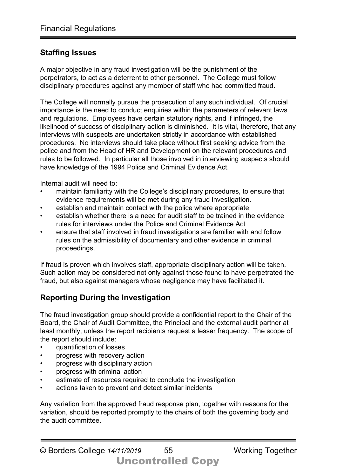## **Staffing Issues**

A major objective in any fraud investigation will be the punishment of the perpetrators, to act as a deterrent to other personnel. The College must follow disciplinary procedures against any member of staff who had committed fraud.

The College will normally pursue the prosecution of any such individual. Of crucial importance is the need to conduct enquiries within the parameters of relevant laws and regulations. Employees have certain statutory rights, and if infringed, the likelihood of success of disciplinary action is diminished. It is vital, therefore, that any interviews with suspects are undertaken strictly in accordance with established procedures. No interviews should take place without first seeking advice from the police and from the Head of HR and Development on the relevant procedures and rules to be followed. In particular all those involved in interviewing suspects should have knowledge of the 1994 Police and Criminal Evidence Act.

Internal audit will need to:

- maintain familiarity with the College's disciplinary procedures, to ensure that evidence requirements will be met during any fraud investigation.
- establish and maintain contact with the police where appropriate
- establish whether there is a need for audit staff to be trained in the evidence rules for interviews under the Police and Criminal Evidence Act
- ensure that staff involved in fraud investigations are familiar with and follow rules on the admissibility of documentary and other evidence in criminal proceedings.

If fraud is proven which involves staff, appropriate disciplinary action will be taken. Such action may be considered not only against those found to have perpetrated the fraud, but also against managers whose negligence may have facilitated it.

## **Reporting During the Investigation**

The fraud investigation group should provide a confidential report to the Chair of the Board, the Chair of Audit Committee, the Principal and the external audit partner at least monthly, unless the report recipients request a lesser frequency. The scope of the report should include:

- quantification of losses
- progress with recovery action
- progress with disciplinary action
- progress with criminal action
- estimate of resources required to conclude the investigation
- actions taken to prevent and detect similar incidents

Any variation from the approved fraud response plan, together with reasons for the variation, should be reported promptly to the chairs of both the governing body and the audit committee.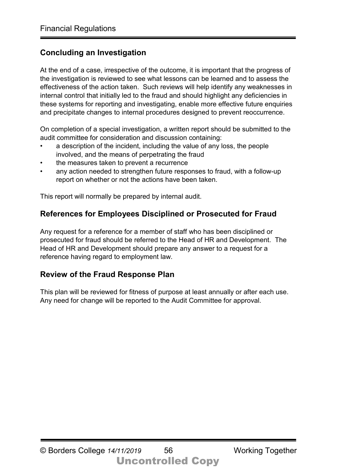## **Concluding an Investigation**

At the end of a case, irrespective of the outcome, it is important that the progress of the investigation is reviewed to see what lessons can be learned and to assess the effectiveness of the action taken. Such reviews will help identify any weaknesses in internal control that initially led to the fraud and should highlight any deficiencies in these systems for reporting and investigating, enable more effective future enquiries and precipitate changes to internal procedures designed to prevent reoccurrence.

On completion of a special investigation, a written report should be submitted to the audit committee for consideration and discussion containing:

- a description of the incident, including the value of any loss, the people involved, and the means of perpetrating the fraud
- the measures taken to prevent a recurrence
- any action needed to strengthen future responses to fraud, with a follow-up report on whether or not the actions have been taken.

This report will normally be prepared by internal audit.

## **References for Employees Disciplined or Prosecuted for Fraud**

Any request for a reference for a member of staff who has been disciplined or prosecuted for fraud should be referred to the Head of HR and Development. The Head of HR and Development should prepare any answer to a request for a reference having regard to employment law.

## **Review of the Fraud Response Plan**

This plan will be reviewed for fitness of purpose at least annually or after each use. Any need for change will be reported to the Audit Committee for approval.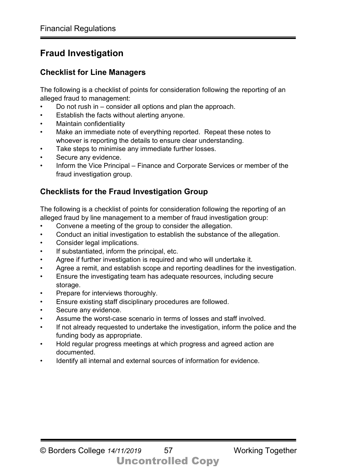## **Fraud Investigation**

#### **Checklist for Line Managers**

The following is a checklist of points for consideration following the reporting of an alleged fraud to management:

- Do not rush in consider all options and plan the approach.
- Establish the facts without alerting anyone.
- Maintain confidentiality
- Make an immediate note of everything reported. Repeat these notes to whoever is reporting the details to ensure clear understanding.
- Take steps to minimise any immediate further losses.
- Secure any evidence.
- Inform the Vice Principal Finance and Corporate Services or member of the fraud investigation group.

## **Checklists for the Fraud Investigation Group**

The following is a checklist of points for consideration following the reporting of an alleged fraud by line management to a member of fraud investigation group:

- Convene a meeting of the group to consider the allegation.
- Conduct an initial investigation to establish the substance of the allegation.
- Consider legal implications.
- If substantiated, inform the principal, etc.
- Agree if further investigation is required and who will undertake it.
- Agree a remit, and establish scope and reporting deadlines for the investigation.
- Ensure the investigating team has adequate resources, including secure storage.
- Prepare for interviews thoroughly.
- Ensure existing staff disciplinary procedures are followed.
- Secure any evidence.
- Assume the worst-case scenario in terms of losses and staff involved.
- If not already requested to undertake the investigation, inform the police and the funding body as appropriate.
- Hold regular progress meetings at which progress and agreed action are documented.
- Identify all internal and external sources of information for evidence.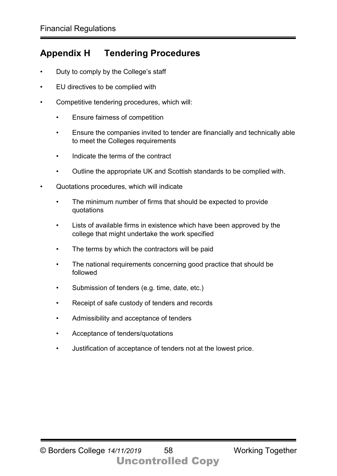## **Appendix H Tendering Procedures**

- Duty to comply by the College's staff
- EU directives to be complied with
- Competitive tendering procedures, which will:
	- Ensure fairness of competition
	- Ensure the companies invited to tender are financially and technically able to meet the Colleges requirements
	- Indicate the terms of the contract
	- Outline the appropriate UK and Scottish standards to be complied with.
- Quotations procedures, which will indicate
	- The minimum number of firms that should be expected to provide quotations
	- Lists of available firms in existence which have been approved by the college that might undertake the work specified
	- The terms by which the contractors will be paid
	- The national requirements concerning good practice that should be followed
	- Submission of tenders (e.g. time, date, etc.)
	- Receipt of safe custody of tenders and records
	- Admissibility and acceptance of tenders
	- Acceptance of tenders/quotations
	- Justification of acceptance of tenders not at the lowest price.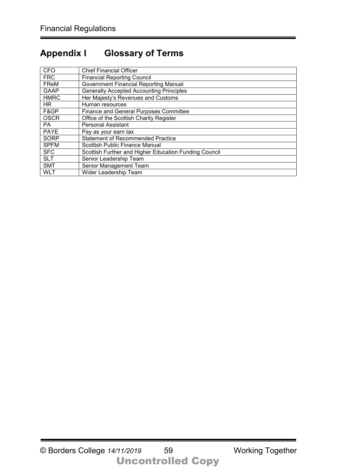## **Appendix I Glossary of Terms**

| <b>CFO</b>  | <b>Chief Financial Officer</b>                        |
|-------------|-------------------------------------------------------|
| <b>FRC</b>  | <b>Financial Reporting Council</b>                    |
| FReM        | <b>Government Financial Reporting Manual</b>          |
| <b>GAAP</b> | <b>Generally Accepted Accounting Principles</b>       |
| <b>HMRC</b> | Her Majesty's Revenues and Customs                    |
| HR.         | Human resources                                       |
| F&GP        | <b>Finance and General Purposes Committee</b>         |
| <b>OSCR</b> | Office of the Scottish Charity Register               |
| PA.         | <b>Personal Assistant</b>                             |
| <b>PAYE</b> | Pay as your earn tax                                  |
| <b>SORP</b> | <b>Statement of Recommended Practice</b>              |
| <b>SPFM</b> | <b>Scottish Public Finance Manual</b>                 |
| <b>SFC</b>  | Scottish Further and Higher Education Funding Council |
| <b>SLT</b>  | Senior Leadership Team                                |
| <b>SMT</b>  | Senior Management Team                                |
| <b>WLT</b>  | Wider Leadership Team                                 |